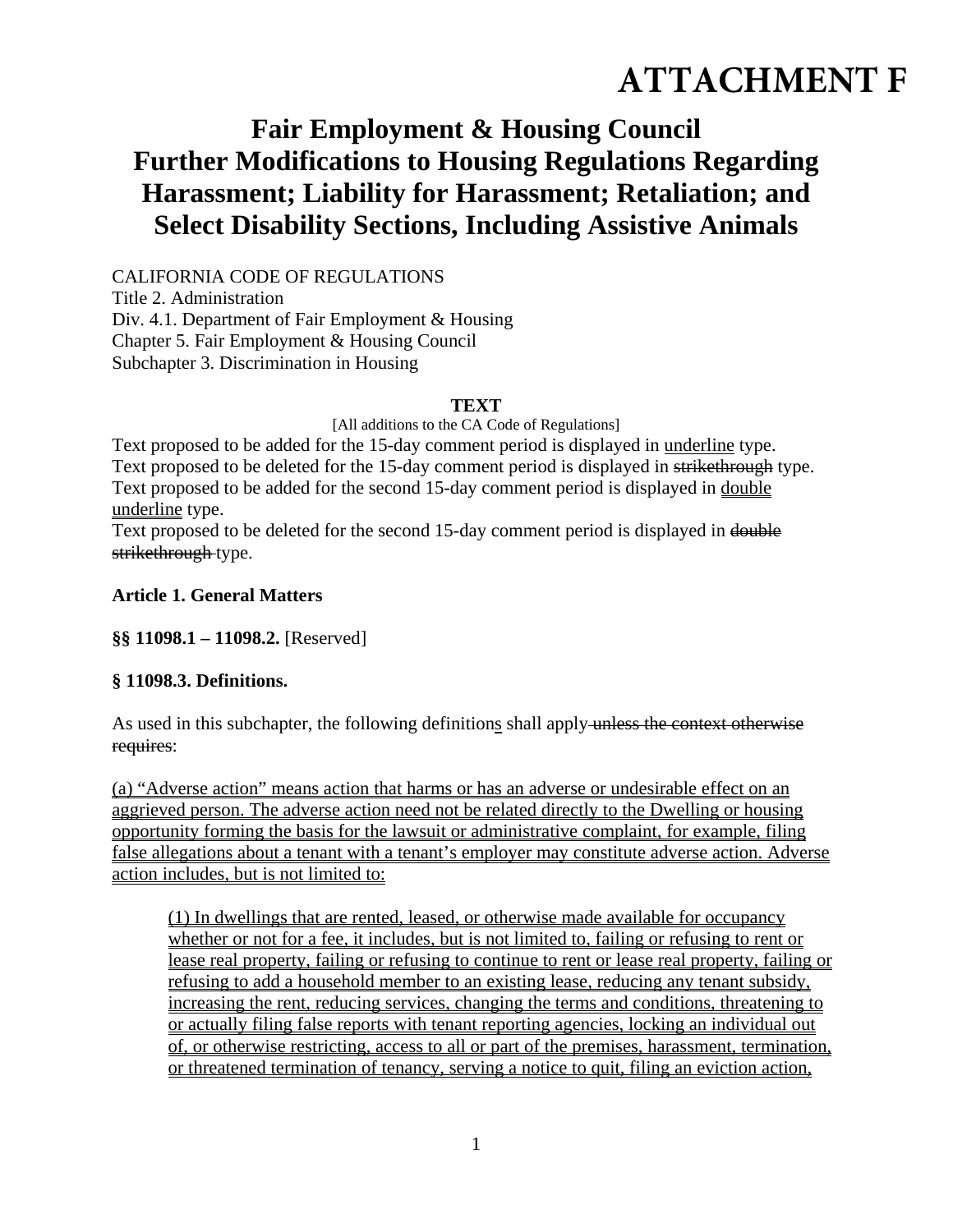# **ATTACHMENT F**

# **Fair Employment & Housing Council Further Modifications to Housing Regulations Regarding Harassment; Liability for Harassment; Retaliation; and Select Disability Sections, Including Assistive Animals**

CALIFORNIA CODE OF REGULATIONS Title 2. Administration Div. 4.1. Department of Fair Employment & Housing Chapter 5. Fair Employment & Housing Council Subchapter 3. Discrimination in Housing

#### **TEXT**

[All additions to the CA Code of Regulations]

Text proposed to be added for the 15-day comment period is displayed in underline type. Text proposed to be deleted for the 15-day comment period is displayed in strikethrough type. Text proposed to be added for the second 15-day comment period is displayed in double underline type.

Text proposed to be deleted for the second 15-day comment period is displayed in double strikethrough type.

#### **Article 1. General Matters**

**§§ 11098.1 – 11098.2.** [Reserved]

#### **§ 11098.3. Definitions.**

As used in this subchapter, the following definitions shall apply unless the context otherwise requires:

(a) "Adverse action" means action that harms or has an adverse or undesirable effect on an aggrieved person. The adverse action need not be related directly to the Dwelling or housing opportunity forming the basis for the lawsuit or administrative complaint, for example, filing false allegations about a tenant with a tenant's employer may constitute adverse action. Adverse action includes, but is not limited to:

(1) In dwellings that are rented, leased, or otherwise made available for occupancy whether or not for a fee, it includes, but is not limited to, failing or refusing to rent or lease real property, failing or refusing to continue to rent or lease real property, failing or refusing to add a household member to an existing lease, reducing any tenant subsidy, increasing the rent, reducing services, changing the terms and conditions, threatening to or actually filing false reports with tenant reporting agencies, locking an individual out of, or otherwise restricting, access to all or part of the premises, harassment, termination, or threatened termination of tenancy, serving a notice to quit, filing an eviction action,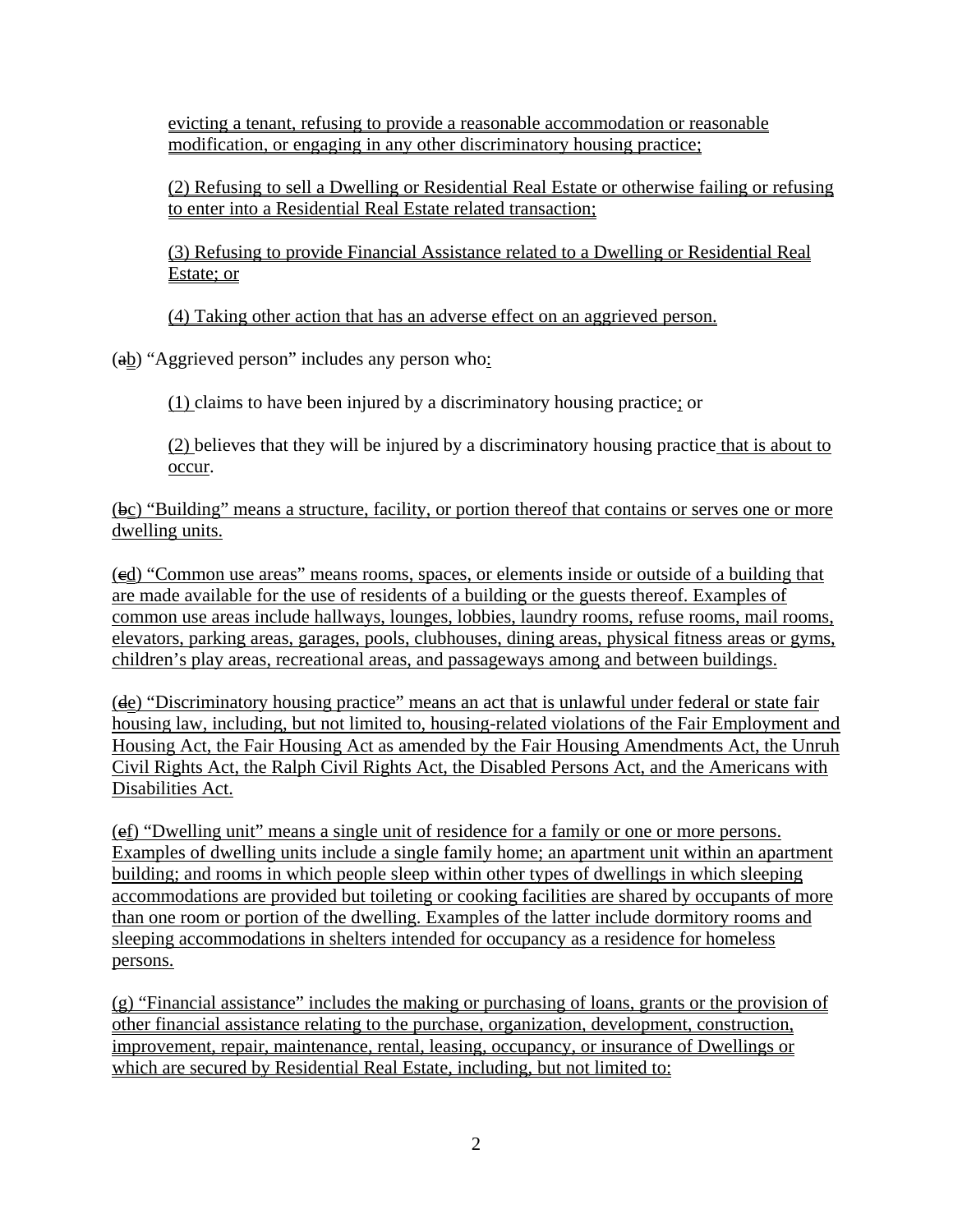evicting a tenant, refusing to provide a reasonable accommodation or reasonable modification, or engaging in any other discriminatory housing practice;

(2) Refusing to sell a Dwelling or Residential Real Estate or otherwise failing or refusing to enter into a Residential Real Estate related transaction;

(3) Refusing to provide Financial Assistance related to a Dwelling or Residential Real Estate; or

(4) Taking other action that has an adverse effect on an aggrieved person.

 $\left(\frac{ab}{2}\right)$  "Aggrieved person" includes any person who:

(1) claims to have been injured by a discriminatory housing practice; or

(2) believes that they will be injured by a discriminatory housing practice that is about to occur.

 $(\frac{\theta c}{c})$  "Building" means a structure, facility, or portion thereof that contains or serves one or more dwelling units.

(cd) "Common use areas" means rooms, spaces, or elements inside or outside of a building that are made available for the use of residents of a building or the guests thereof. Examples of common use areas include hallways, lounges, lobbies, laundry rooms, refuse rooms, mail rooms, elevators, parking areas, garages, pools, clubhouses, dining areas, physical fitness areas or gyms, children's play areas, recreational areas, and passageways among and between buildings.

(de) "Discriminatory housing practice" means an act that is unlawful under federal or state fair housing law, including, but not limited to, housing-related violations of the Fair Employment and Housing Act, the Fair Housing Act as amended by the Fair Housing Amendments Act, the Unruh Civil Rights Act, the Ralph Civil Rights Act, the Disabled Persons Act, and the Americans with Disabilities Act.

(ef) "Dwelling unit" means a single unit of residence for a family or one or more persons. Examples of dwelling units include a single family home; an apartment unit within an apartment building; and rooms in which people sleep within other types of dwellings in which sleeping accommodations are provided but toileting or cooking facilities are shared by occupants of more than one room or portion of the dwelling. Examples of the latter include dormitory rooms and sleeping accommodations in shelters intended for occupancy as a residence for homeless persons.

(g) "Financial assistance" includes the making or purchasing of loans, grants or the provision of other financial assistance relating to the purchase, organization, development, construction, improvement, repair, maintenance, rental, leasing, occupancy, or insurance of Dwellings or which are secured by Residential Real Estate, including, but not limited to: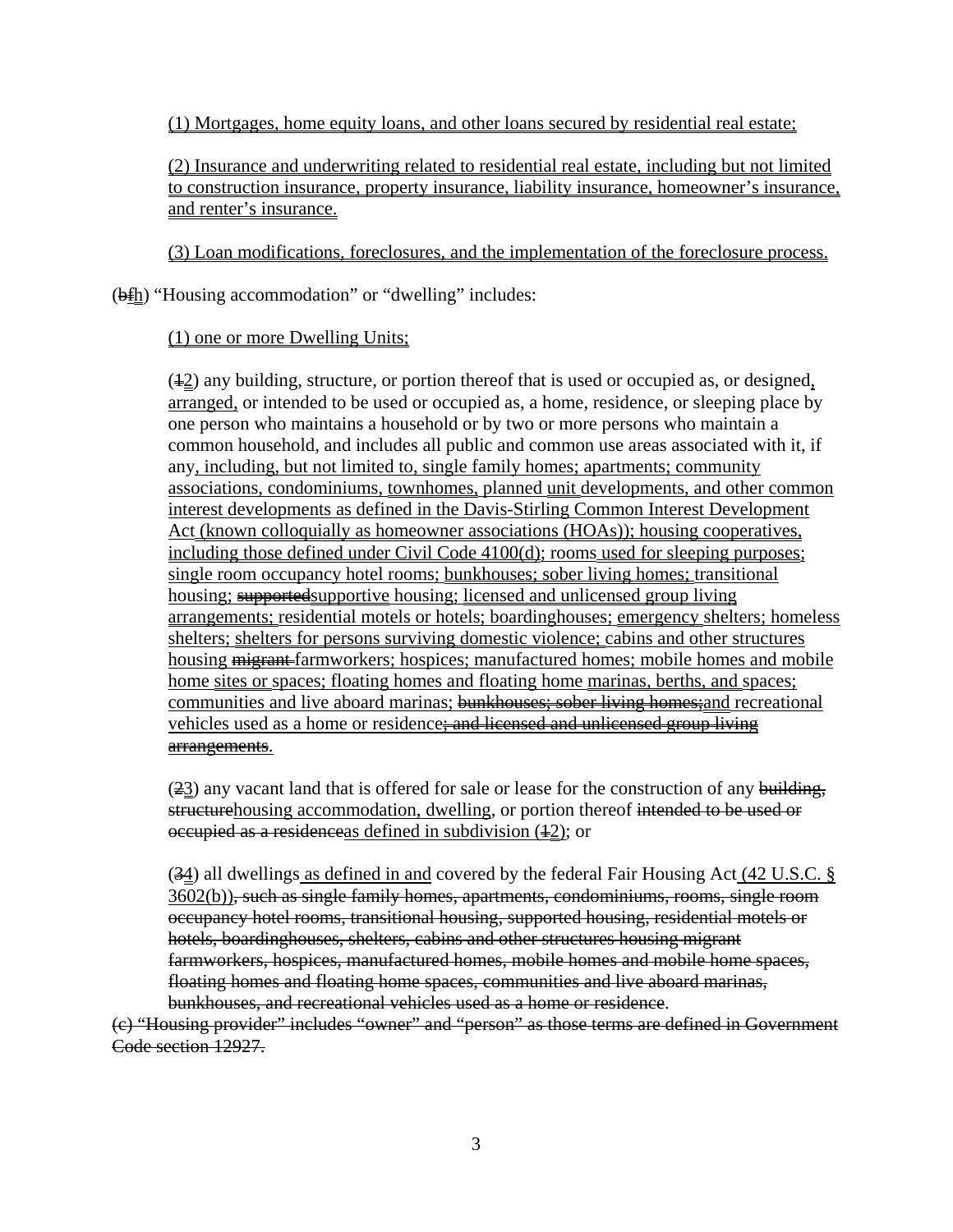(1) Mortgages, home equity loans, and other loans secured by residential real estate;

(2) Insurance and underwriting related to residential real estate, including but not limited to construction insurance, property insurance, liability insurance, homeowner's insurance, and renter's insurance.

(3) Loan modifications, foreclosures, and the implementation of the foreclosure process.

 $(\frac{\theta f h}{\theta})$  "Housing accommodation" or "dwelling" includes:

## (1) one or more Dwelling Units;

 $(42)$  any building, structure, or portion thereof that is used or occupied as, or designed, arranged, or intended to be used or occupied as, a home, residence, or sleeping place by one person who maintains a household or by two or more persons who maintain a common household, and includes all public and common use areas associated with it, if any, including, but not limited to, single family homes; apartments; community associations, condominiums, townhomes, planned unit developments, and other common interest developments as defined in the Davis-Stirling Common Interest Development Act (known colloquially as homeowner associations (HOAs)); housing cooperatives, including those defined under Civil Code 4100(d); rooms used for sleeping purposes; single room occupancy hotel rooms; bunkhouses; sober living homes; transitional housing; supported supportive housing; licensed and unlicensed group living arrangements; residential motels or hotels; boardinghouses; emergency shelters; homeless shelters; shelters for persons surviving domestic violence; cabins and other structures housing migrant farmworkers; hospices; manufactured homes; mobile homes and mobile home sites or spaces; floating homes and floating home marinas, berths, and spaces; communities and live aboard marinas; bunkhouses; sober living homes; and recreational vehicles used as a home or residence<del>; and licensed and unlicensed group living</del> arrangements.

 $(23)$  any vacant land that is offered for sale or lease for the construction of any building, structurehousing accommodation, dwelling, or portion thereof intended to be used or occupied as a residence as defined in subdivision  $(42)$ ; or

(34) all dwellings as defined in and covered by the federal Fair Housing Act (42 U.S.C. § 3602(b)), such as single family homes, apartments, condominiums, rooms, single room occupancy hotel rooms, transitional housing, supported housing, residential motels or hotels, boardinghouses, shelters, cabins and other structures housing migrant farmworkers, hospices, manufactured homes, mobile homes and mobile home spaces, floating homes and floating home spaces, communities and live aboard marinas, bunkhouses, and recreational vehicles used as a home or residence.

(c) "Housing provider" includes "owner" and "person" as those terms are defined in Government Code section 12927.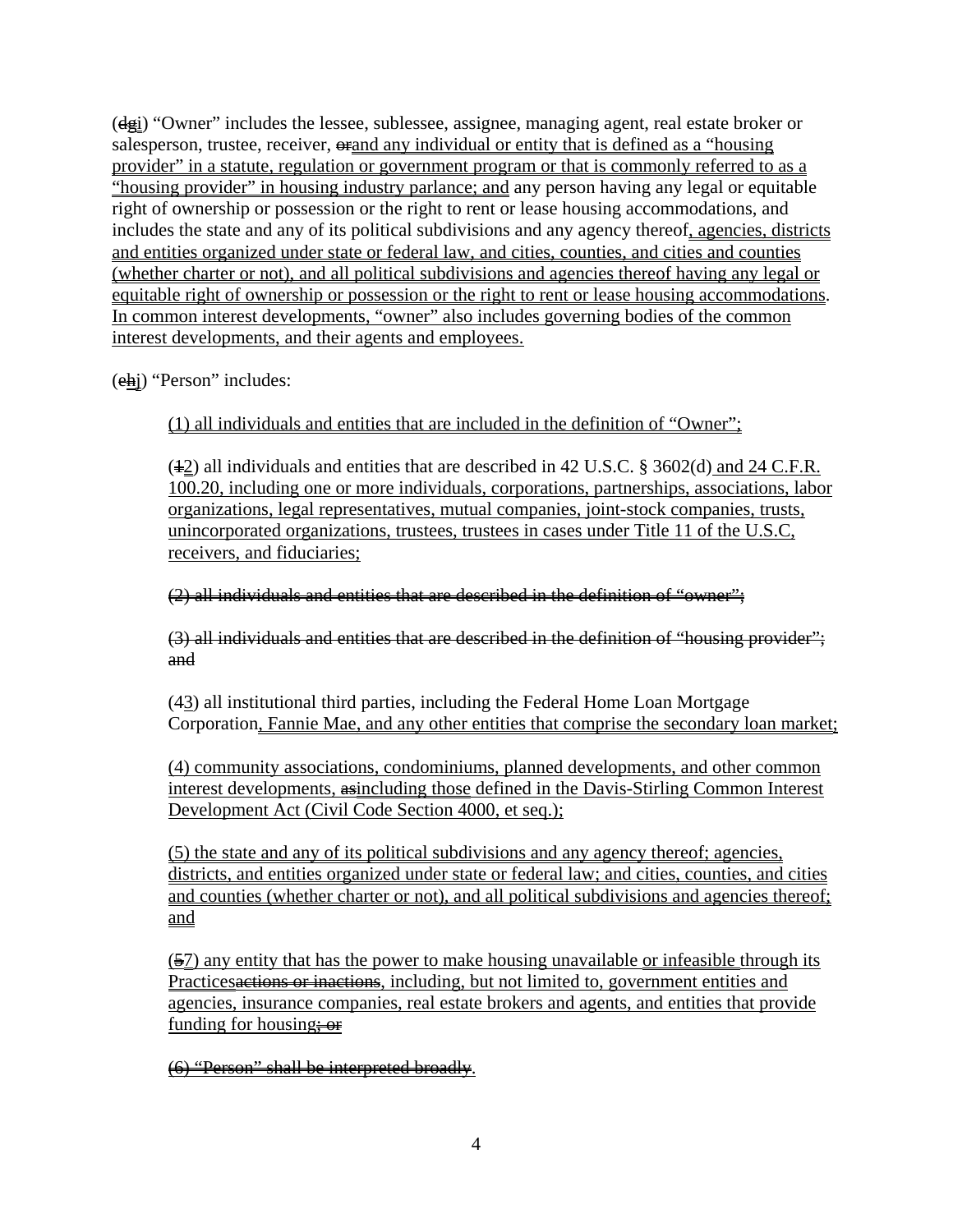$(d_{\frac{1}{2}})$  "Owner" includes the lessee, sublessee, assignee, managing agent, real estate broker or salesperson, trustee, receiver,  $\theta$  and any individual or entity that is defined as a "housing" provider" in a statute, regulation or government program or that is commonly referred to as a "housing provider" in housing industry parlance; and any person having any legal or equitable right of ownership or possession or the right to rent or lease housing accommodations, and includes the state and any of its political subdivisions and any agency thereof, agencies, districts and entities organized under state or federal law, and cities, counties, and cities and counties (whether charter or not), and all political subdivisions and agencies thereof having any legal or equitable right of ownership or possession or the right to rent or lease housing accommodations. In common interest developments, "owner" also includes governing bodies of the common interest developments, and their agents and employees.

(ehj) "Person" includes:

(1) all individuals and entities that are included in the definition of "Owner";

 $(42)$  all individuals and entities that are described in 42 U.S.C. § 3602(d) and 24 C.F.R. 100.20, including one or more individuals, corporations, partnerships, associations, labor organizations, legal representatives, mutual companies, joint-stock companies, trusts, unincorporated organizations, trustees, trustees in cases under Title 11 of the U.S.C, receivers, and fiduciaries;

## (2) all individuals and entities that are described in the definition of "owner";

(3) all individuals and entities that are described in the definition of "housing provider"; and

(43) all institutional third parties, including the Federal Home Loan Mortgage Corporation, Fannie Mae, and any other entities that comprise the secondary loan market;

(4) community associations, condominiums, planned developments, and other common interest developments, asincluding those defined in the Davis-Stirling Common Interest Development Act (Civil Code Section 4000, et seq.);

(5) the state and any of its political subdivisions and any agency thereof; agencies, districts, and entities organized under state or federal law; and cities, counties, and cities and counties (whether charter or not), and all political subdivisions and agencies thereof; and

(57) any entity that has the power to make housing unavailable or infeasible through its Practices actions or inactions, including, but not limited to, government entities and agencies, insurance companies, real estate brokers and agents, and entities that provide funding for housing $\div$ **or** 

(6) "Person" shall be interpreted broadly.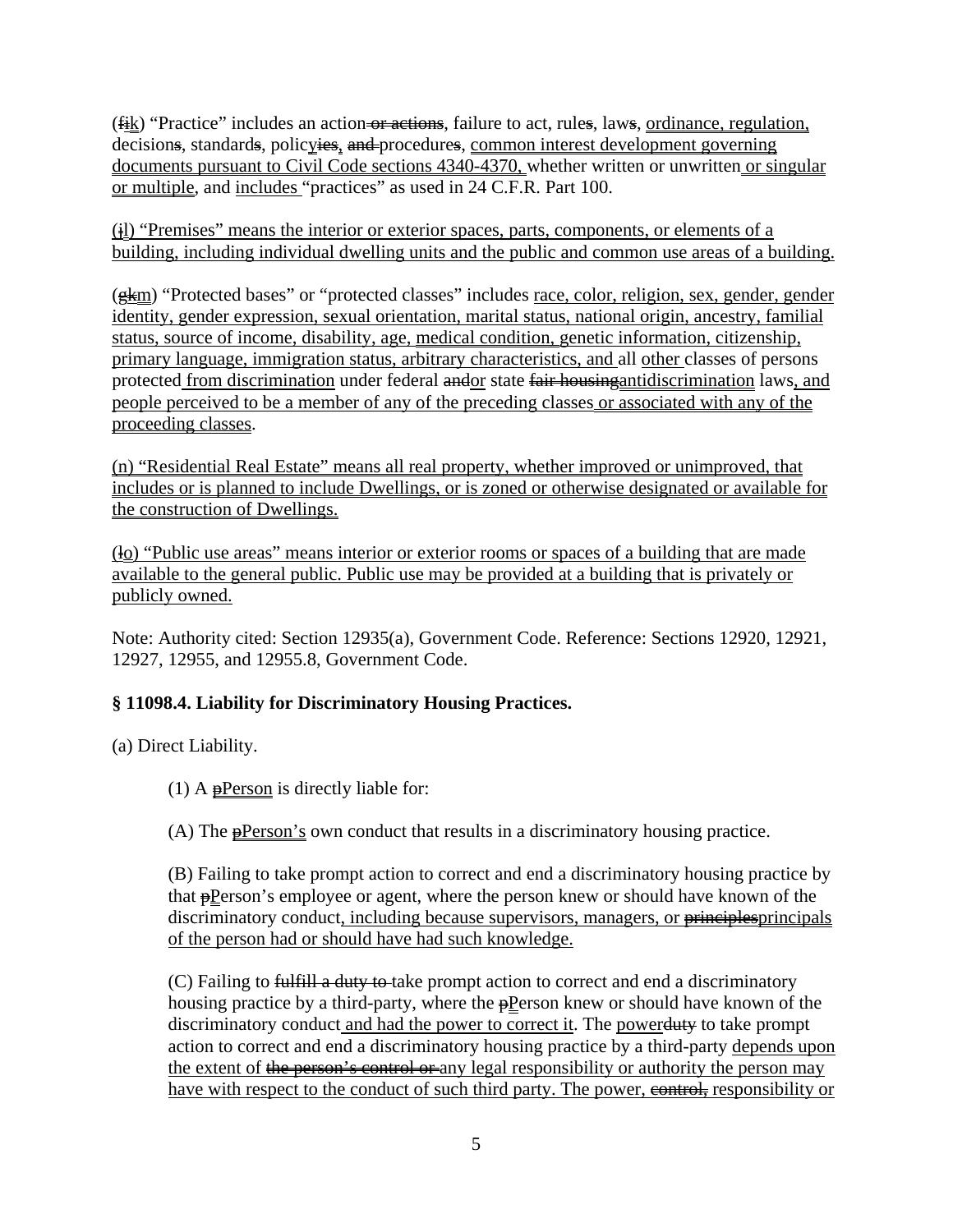$(f_{ik})$  "Practice" includes an action or actions, failure to act, rules, laws, ordinance, regulation, decisions, standards, policyies, and procedures, common interest development governing documents pursuant to Civil Code sections 4340-4370, whether written or unwritten or singular or multiple, and includes "practices" as used in 24 C.F.R. Part 100.

 $(i)$  "Premises" means the interior or exterior spaces, parts, components, or elements of a building, including individual dwelling units and the public and common use areas of a building.

 $(gkm)$  "Protected bases" or "protected classes" includes race, color, religion, sex, gender, gender identity, gender expression, sexual orientation, marital status, national origin, ancestry, familial status, source of income, disability, age, medical condition, genetic information, citizenship, primary language, immigration status, arbitrary characteristics, and all other classes of persons protected from discrimination under federal andor state fair housingantidiscrimination laws, and people perceived to be a member of any of the preceding classes or associated with any of the proceeding classes.

(n) "Residential Real Estate" means all real property, whether improved or unimproved, that includes or is planned to include Dwellings, or is zoned or otherwise designated or available for the construction of Dwellings.

 $\dot{q}_0$  "Public use areas" means interior or exterior rooms or spaces of a building that are made available to the general public. Public use may be provided at a building that is privately or publicly owned.

Note: Authority cited: Section 12935(a), Government Code. Reference: Sections 12920, 12921, 12927, 12955, and 12955.8, Government Code.

# **§ 11098.4. Liability for Discriminatory Housing Practices.**

(a) Direct Liability.

(1) A  $\theta$ Person is directly liable for:

(A) The  $\frac{1}{2}$ Person's own conduct that results in a discriminatory housing practice.

(B) Failing to take prompt action to correct and end a discriminatory housing practice by that **pPerson's** employee or agent, where the person knew or should have known of the discriminatory conduct, including because supervisors, managers, or <del>principles</del>principals of the person had or should have had such knowledge.

(C) Failing to fulfill a duty to take prompt action to correct and end a discriminatory housing practice by a third-party, where the  $\Theta$ Person knew or should have known of the discriminatory conduct and had the power to correct it. The powerduty to take prompt action to correct and end a discriminatory housing practice by a third-party depends upon the extent of the person's control or any legal responsibility or authority the person may have with respect to the conduct of such third party. The power, **example example** responsibility or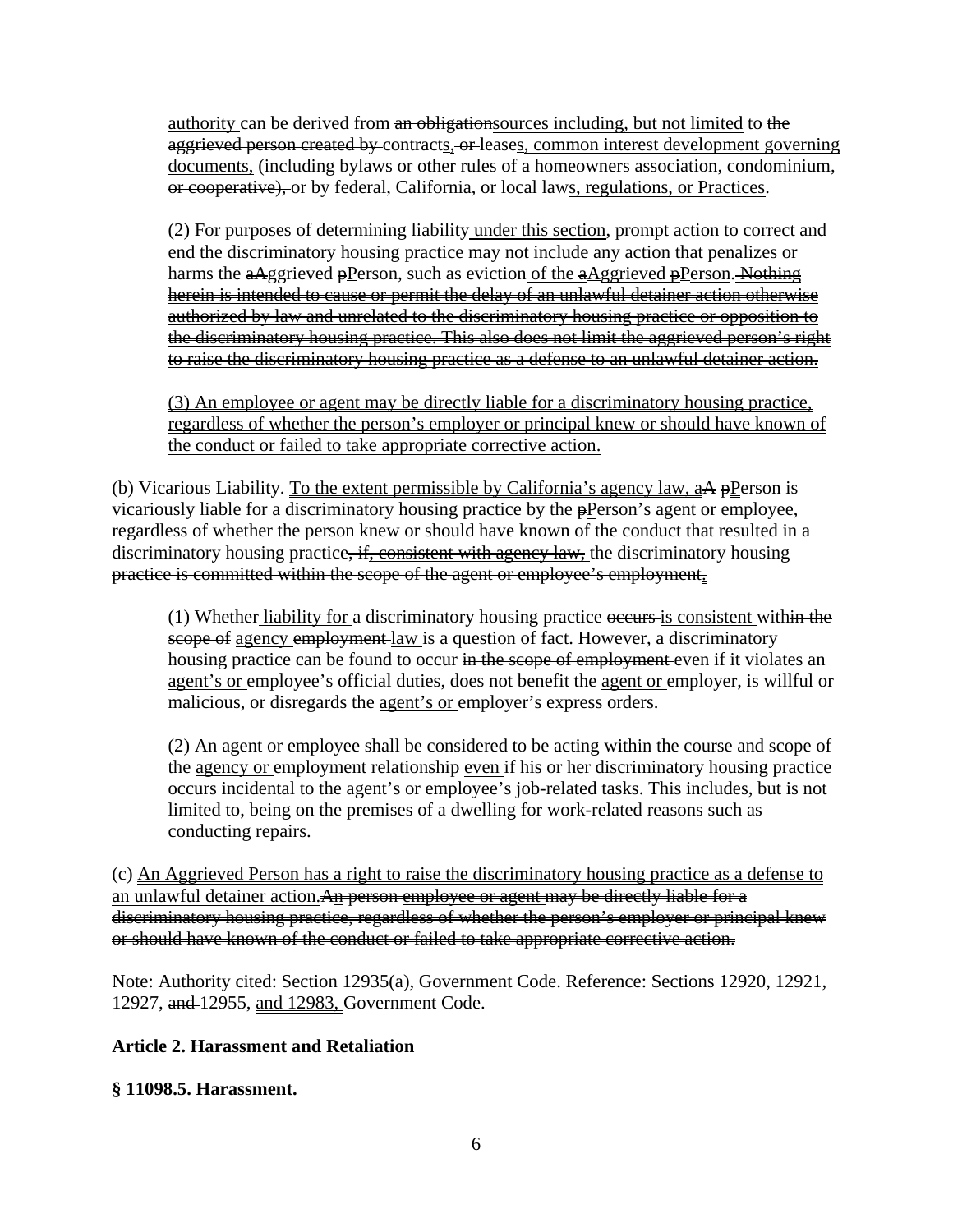authority can be derived from an obligation sources including, but not limited to the aggrieved person created by contracts, or leases, common interest development governing documents, (including bylaws or other rules of a homeowners association, condominium, or cooperative), or by federal, California, or local laws, regulations, or Practices.

(2) For purposes of determining liability under this section, prompt action to correct and end the discriminatory housing practice may not include any action that penalizes or harms the  $\frac{aA}{gg}$  rieved  $\frac{p}{p}$  reson, such as eviction of the  $\frac{aA}{gg}$  rieved  $\frac{p}{p}$  reson. Nothing herein is intended to cause or permit the delay of an unlawful detainer action otherwise authorized by law and unrelated to the discriminatory housing practice or opposition to the discriminatory housing practice. This also does not limit the aggrieved person's right to raise the discriminatory housing practice as a defense to an unlawful detainer action.

(3) An employee or agent may be directly liable for a discriminatory housing practice, regardless of whether the person's employer or principal knew or should have known of the conduct or failed to take appropriate corrective action.

(b) Vicarious Liability. To the extent permissible by California's agency law,  $a\overrightarrow{A}$  pPerson is vicariously liable for a discriminatory housing practice by the  $\frac{1}{2}$ Person's agent or employee, regardless of whether the person knew or should have known of the conduct that resulted in a discriminatory housing practice<del>, if, consistent with agency law,</del> the discriminatory housing practice is committed within the scope of the agent or employee's employment.

(1) Whether liability for a discriminatory housing practice occurs is consistent within the scope of agency employment law is a question of fact. However, a discriminatory housing practice can be found to occur in the scope of employment even if it violates an agent's or employee's official duties, does not benefit the agent or employer, is willful or malicious, or disregards the agent's or employer's express orders.

(2) An agent or employee shall be considered to be acting within the course and scope of the agency or employment relationship even if his or her discriminatory housing practice occurs incidental to the agent's or employee's job-related tasks. This includes, but is not limited to, being on the premises of a dwelling for work-related reasons such as conducting repairs.

(c) An Aggrieved Person has a right to raise the discriminatory housing practice as a defense to an unlawful detainer action.An person employee or agent may be directly liable for a discriminatory housing practice, regardless of whether the person's employer or principal knew or should have known of the conduct or failed to take appropriate corrective action.

Note: Authority cited: Section 12935(a), Government Code. Reference: Sections 12920, 12921, 12927, and 12955, and 12983, Government Code.

## **Article 2. Harassment and Retaliation**

**§ 11098.5. Harassment.**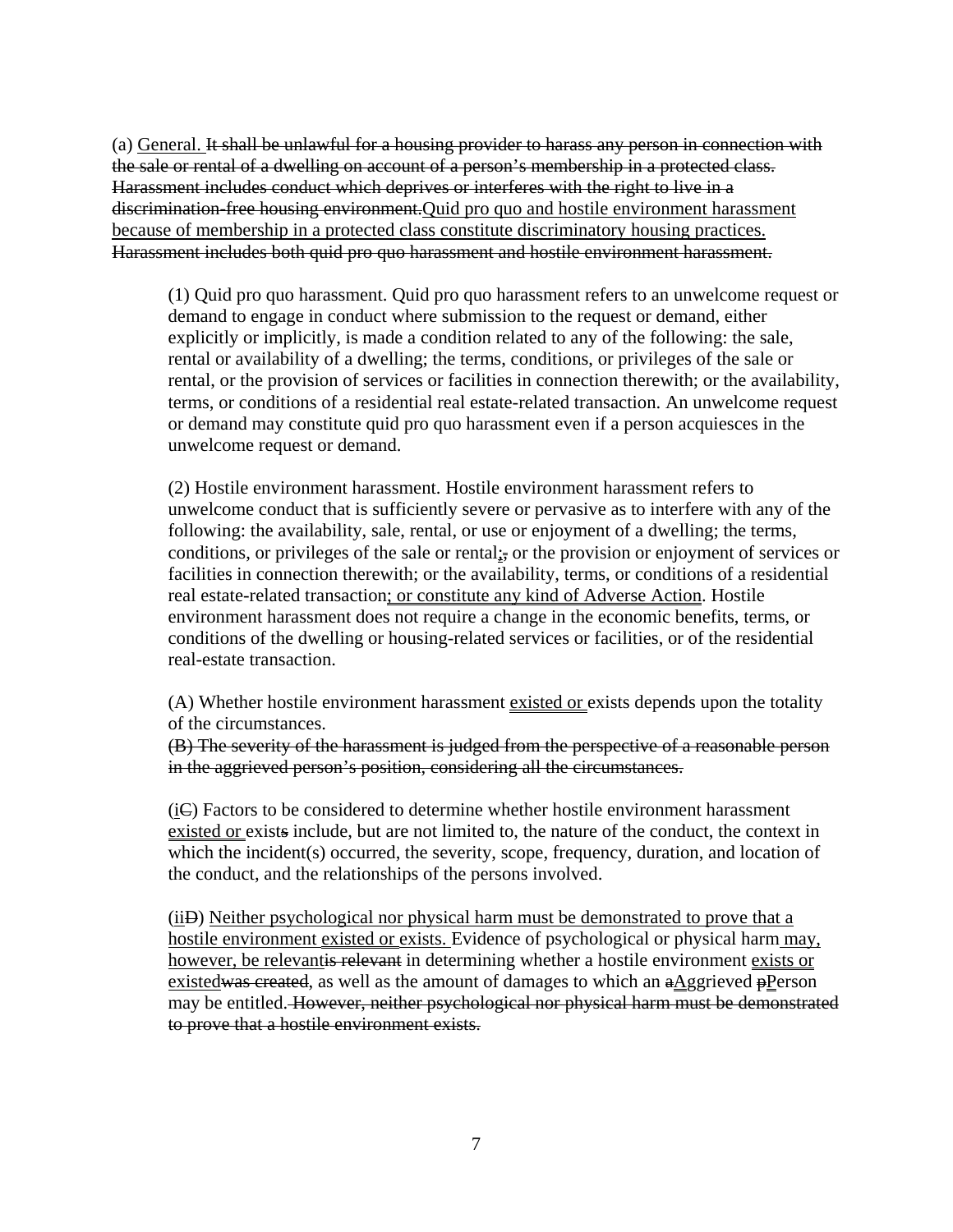(a) General. It shall be unlawful for a housing provider to harass any person in connection with the sale or rental of a dwelling on account of a person's membership in a protected class. Harassment includes conduct which deprives or interferes with the right to live in a discrimination-free housing environment.Quid pro quo and hostile environment harassment because of membership in a protected class constitute discriminatory housing practices. Harassment includes both quid pro quo harassment and hostile environment harassment.

(1) Quid pro quo harassment. Quid pro quo harassment refers to an unwelcome request or demand to engage in conduct where submission to the request or demand, either explicitly or implicitly, is made a condition related to any of the following: the sale, rental or availability of a dwelling; the terms, conditions, or privileges of the sale or rental, or the provision of services or facilities in connection therewith; or the availability, terms, or conditions of a residential real estate-related transaction. An unwelcome request or demand may constitute quid pro quo harassment even if a person acquiesces in the unwelcome request or demand.

(2) Hostile environment harassment. Hostile environment harassment refers to unwelcome conduct that is sufficiently severe or pervasive as to interfere with any of the following: the availability, sale, rental, or use or enjoyment of a dwelling; the terms, conditions, or privileges of the sale or rental<sub> $\frac{1}{2}$ </sub> or the provision or enjoyment of services or facilities in connection therewith; or the availability, terms, or conditions of a residential real estate-related transaction; or constitute any kind of Adverse Action. Hostile environment harassment does not require a change in the economic benefits, terms, or conditions of the dwelling or housing-related services or facilities, or of the residential real-estate transaction.

(A) Whether hostile environment harassment existed or exists depends upon the totality of the circumstances.

(B) The severity of the harassment is judged from the perspective of a reasonable person in the aggrieved person's position, considering all the circumstances.

(iC) Factors to be considered to determine whether hostile environment harassment existed or exists include, but are not limited to, the nature of the conduct, the context in which the incident(s) occurred, the severity, scope, frequency, duration, and location of the conduct, and the relationships of the persons involved.

(iiD) Neither psychological nor physical harm must be demonstrated to prove that a hostile environment existed or exists. Evidence of psychological or physical harm may, however, be relevantis relevant in determining whether a hostile environment exists or existedwas created, as well as the amount of damages to which an  $a\Delta g$ grieved  $p$ Person may be entitled. However, neither psychological nor physical harm must be demonstrated to prove that a hostile environment exists.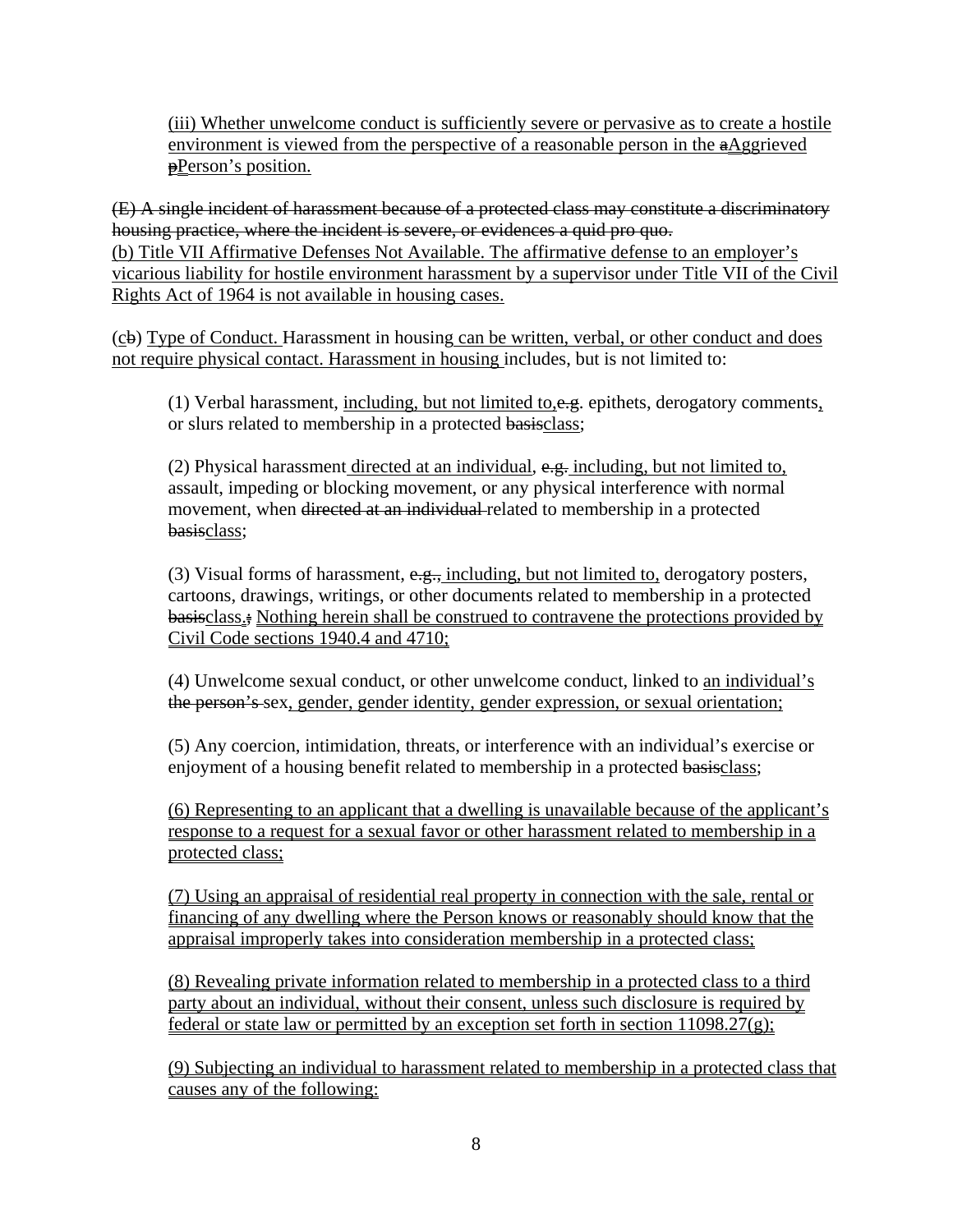(iii) Whether unwelcome conduct is sufficiently severe or pervasive as to create a hostile environment is viewed from the perspective of a reasonable person in the  $a\Delta g$ grieved **pPerson's position.** 

(E) A single incident of harassment because of a protected class may constitute a discriminatory housing practice, where the incident is severe, or evidences a quid pro quo. (b) Title VII Affirmative Defenses Not Available. The affirmative defense to an employer's vicarious liability for hostile environment harassment by a supervisor under Title VII of the Civil Rights Act of 1964 is not available in housing cases.

(cb) Type of Conduct. Harassment in housing can be written, verbal, or other conduct and does not require physical contact. Harassment in housing includes, but is not limited to:

(1) Verbal harassment, including, but not limited to, e.g. epithets, derogatory comments, or slurs related to membership in a protected basisclass;

(2) Physical harassment directed at an individual,  $e.g.$  including, but not limited to, assault, impeding or blocking movement, or any physical interference with normal movement, when directed at an individual related to membership in a protected basisclass;

(3) Visual forms of harassment,  $e.g.,$  including, but not limited to, derogatory posters, cartoons, drawings, writings, or other documents related to membership in a protected basisclass<sub><sup>i</sub></sup> Nothing herein shall be construed to contravene the protections provided by</sub> Civil Code sections 1940.4 and 4710;

(4) Unwelcome sexual conduct, or other unwelcome conduct, linked to an individual's the person's sex, gender, gender identity, gender expression, or sexual orientation;

(5) Any coercion, intimidation, threats, or interference with an individual's exercise or enjoyment of a housing benefit related to membership in a protected basisclass;

(6) Representing to an applicant that a dwelling is unavailable because of the applicant's response to a request for a sexual favor or other harassment related to membership in a protected class;

(7) Using an appraisal of residential real property in connection with the sale, rental or financing of any dwelling where the Person knows or reasonably should know that the appraisal improperly takes into consideration membership in a protected class;

(8) Revealing private information related to membership in a protected class to a third party about an individual, without their consent, unless such disclosure is required by federal or state law or permitted by an exception set forth in section 11098.27(g);

(9) Subjecting an individual to harassment related to membership in a protected class that causes any of the following: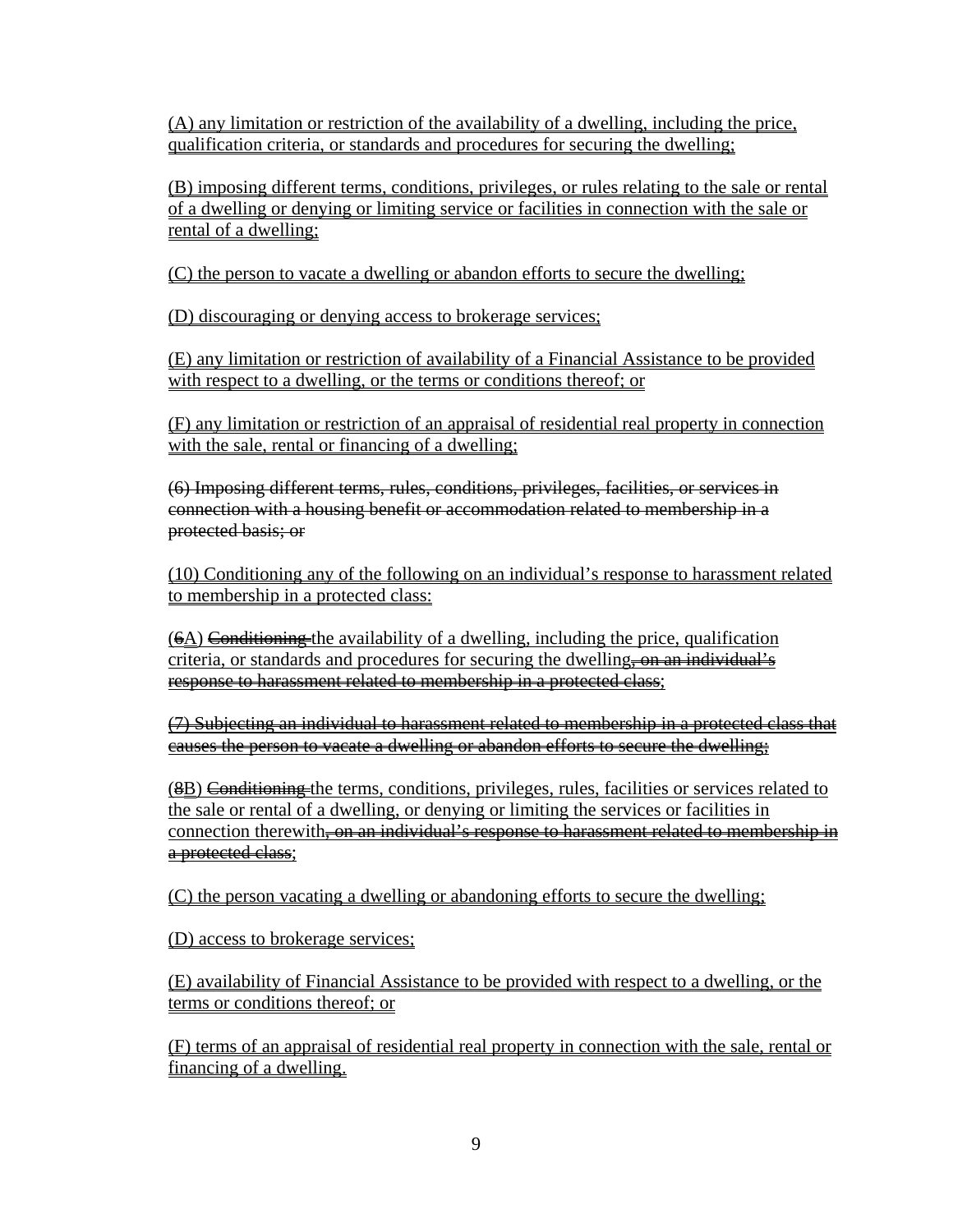(A) any limitation or restriction of the availability of a dwelling, including the price, qualification criteria, or standards and procedures for securing the dwelling;

(B) imposing different terms, conditions, privileges, or rules relating to the sale or rental of a dwelling or denying or limiting service or facilities in connection with the sale or rental of a dwelling;

(C) the person to vacate a dwelling or abandon efforts to secure the dwelling;

(D) discouraging or denying access to brokerage services;

(E) any limitation or restriction of availability of a Financial Assistance to be provided with respect to a dwelling, or the terms or conditions thereof; or

(F) any limitation or restriction of an appraisal of residential real property in connection with the sale, rental or financing of a dwelling;

(6) Imposing different terms, rules, conditions, privileges, facilities, or services in connection with a housing benefit or accommodation related to membership in a protected basis; or

(10) Conditioning any of the following on an individual's response to harassment related to membership in a protected class:

 $(6\Delta)$  Conditioning the availability of a dwelling, including the price, qualification criteria, or standards and procedures for securing the dwelling, on an individual's response to harassment related to membership in a protected class;

(7) Subjecting an individual to harassment related to membership in a protected class that causes the person to vacate a dwelling or abandon efforts to secure the dwelling;

(8B) Conditioning the terms, conditions, privileges, rules, facilities or services related to the sale or rental of a dwelling, or denying or limiting the services or facilities in connection therewith<del>, on an individual's response to harassment related to membership in</del> a protected class;

(C) the person vacating a dwelling or abandoning efforts to secure the dwelling;

(D) access to brokerage services;

(E) availability of Financial Assistance to be provided with respect to a dwelling, or the terms or conditions thereof; or

(F) terms of an appraisal of residential real property in connection with the sale, rental or financing of a dwelling.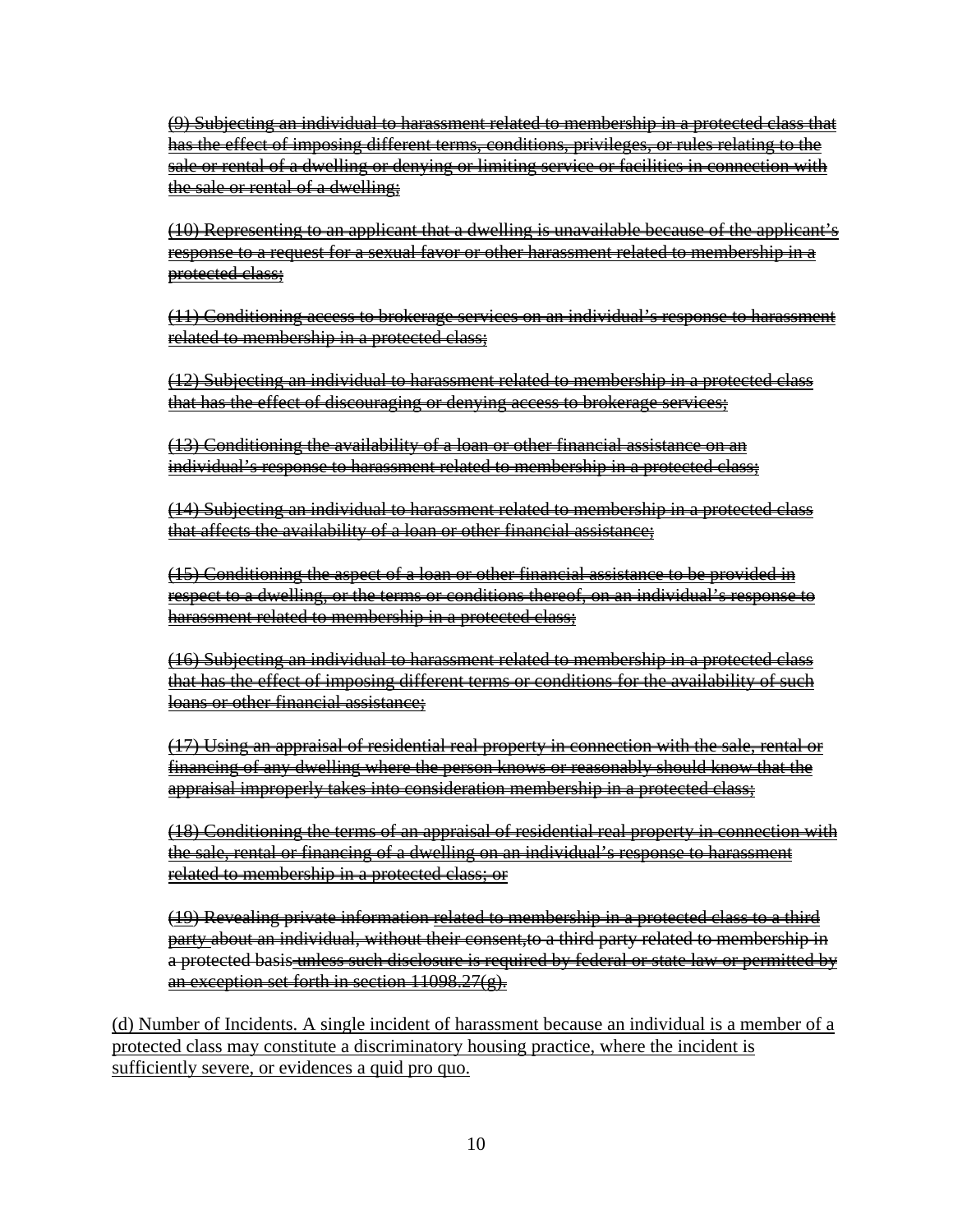(9) Subjecting an individual to harassment related to membership in a protected class that has the effect of imposing different terms, conditions, privileges, or rules relating to the sale or rental of a dwelling or denying or limiting service or facilities in connection with the sale or rental of a dwelling;

(10) Representing to an applicant that a dwelling is unavailable because of the applicant's response to a request for a sexual favor or other harassment related to membership in a protected class;

(11) Conditioning access to brokerage services on an individual's response to harassment related to membership in a protected class;

(12) Subjecting an individual to harassment related to membership in a protected class that has the effect of discouraging or denying access to brokerage services;

(13) Conditioning the availability of a loan or other financial assistance on an individual's response to harassment related to membership in a protected class;

(14) Subjecting an individual to harassment related to membership in a protected class that affects the availability of a loan or other financial assistance;

(15) Conditioning the aspect of a loan or other financial assistance to be provided in respect to a dwelling, or the terms or conditions thereof, on an individual's response to harassment related to membership in a protected class;

(16) Subjecting an individual to harassment related to membership in a protected class that has the effect of imposing different terms or conditions for the availability of such loans or other financial assistance;

(17) Using an appraisal of residential real property in connection with the sale, rental or financing of any dwelling where the person knows or reasonably should know that the appraisal improperly takes into consideration membership in a protected class;

(18) Conditioning the terms of an appraisal of residential real property in connection with the sale, rental or financing of a dwelling on an individual's response to harassment related to membership in a protected class; or

(19) Revealing private information related to membership in a protected class to a third party about an individual, without their consent,to a third party related to membership in a protected basis unless such disclosure is required by federal or state law or permitted by an exception set forth in section  $11098.27(g)$ .

(d) Number of Incidents. A single incident of harassment because an individual is a member of a protected class may constitute a discriminatory housing practice, where the incident is sufficiently severe, or evidences a quid pro quo.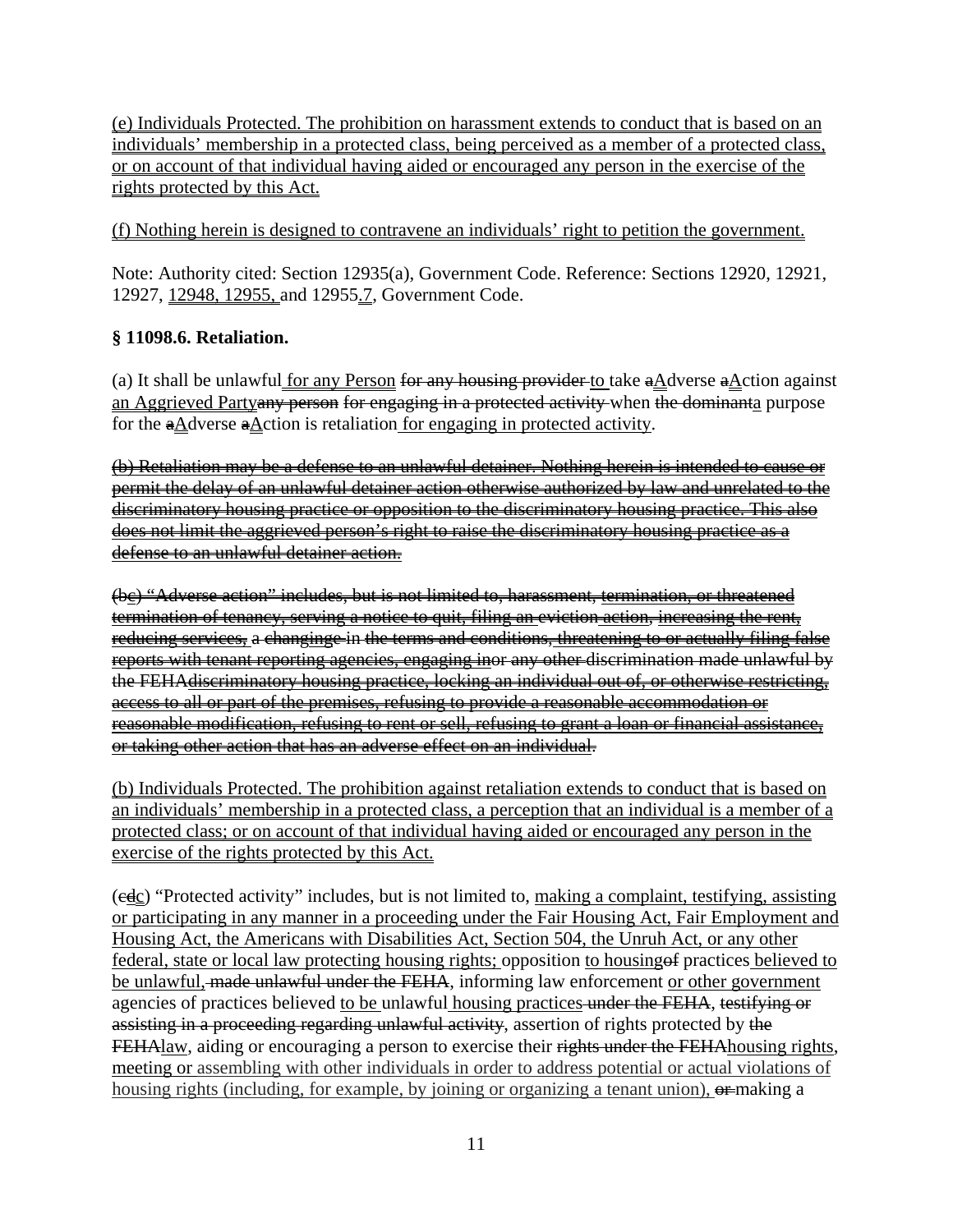(e) Individuals Protected. The prohibition on harassment extends to conduct that is based on an individuals' membership in a protected class, being perceived as a member of a protected class, or on account of that individual having aided or encouraged any person in the exercise of the rights protected by this Act.

(f) Nothing herein is designed to contravene an individuals' right to petition the government.

Note: Authority cited: Section 12935(a), Government Code. Reference: Sections 12920, 12921, 12927, 12948, 12955, and 12955.7, Government Code.

# **§ 11098.6. Retaliation.**

(a) It shall be unlawful for any Person for any housing provider to take  $\frac{aA}{dx}$  dverse  $\frac{aA}{dx}$ ction against an Aggrieved Partyany person for engaging in a protected activity when the dominanta purpose for the  $\frac{a\text{A}}{c}$  and  $\frac{a\text{A}}{c}$  action is retaliation for engaging in protected activity.

(b) Retaliation may be a defense to an unlawful detainer. Nothing herein is intended to cause or permit the delay of an unlawful detainer action otherwise authorized by law and unrelated to the discriminatory housing practice or opposition to the discriminatory housing practice. This also does not limit the aggrieved person's right to raise the discriminatory housing practice as a defense to an unlawful detainer action.

(bc) "Adverse action" includes, but is not limited to, harassment, termination, or threatened termination of tenancy, serving a notice to quit, filing an eviction action, increasing the rent, reducing services, a changinge in the terms and conditions, threatening to or actually filing false reports with tenant reporting agencies, engaging inor any other discrimination made unlawful by the FEHAdiscriminatory housing practice, locking an individual out of, or otherwise restricting, access to all or part of the premises, refusing to provide a reasonable accommodation or reasonable modification, refusing to rent or sell, refusing to grant a loan or financial assistance, or taking other action that has an adverse effect on an individual.

(b) Individuals Protected. The prohibition against retaliation extends to conduct that is based on an individuals' membership in a protected class, a perception that an individual is a member of a protected class; or on account of that individual having aided or encouraged any person in the exercise of the rights protected by this Act.

 $(\overline{edc})$  "Protected activity" includes, but is not limited to, making a complaint, testifying, assisting or participating in any manner in a proceeding under the Fair Housing Act, Fair Employment and Housing Act, the Americans with Disabilities Act, Section 504, the Unruh Act, or any other federal, state or local law protecting housing rights; opposition to housing of practices believed to be unlawful, made unlawful under the FEHA, informing law enforcement or other government agencies of practices believed to be unlawful housing practices under the FEHA, testifying or assisting in a proceeding regarding unlawful activity, assertion of rights protected by the FEHAlaw, aiding or encouraging a person to exercise their rights under the FEHA housing rights, meeting or assembling with other individuals in order to address potential or actual violations of housing rights (including, for example, by joining or organizing a tenant union),  $\theta$  making a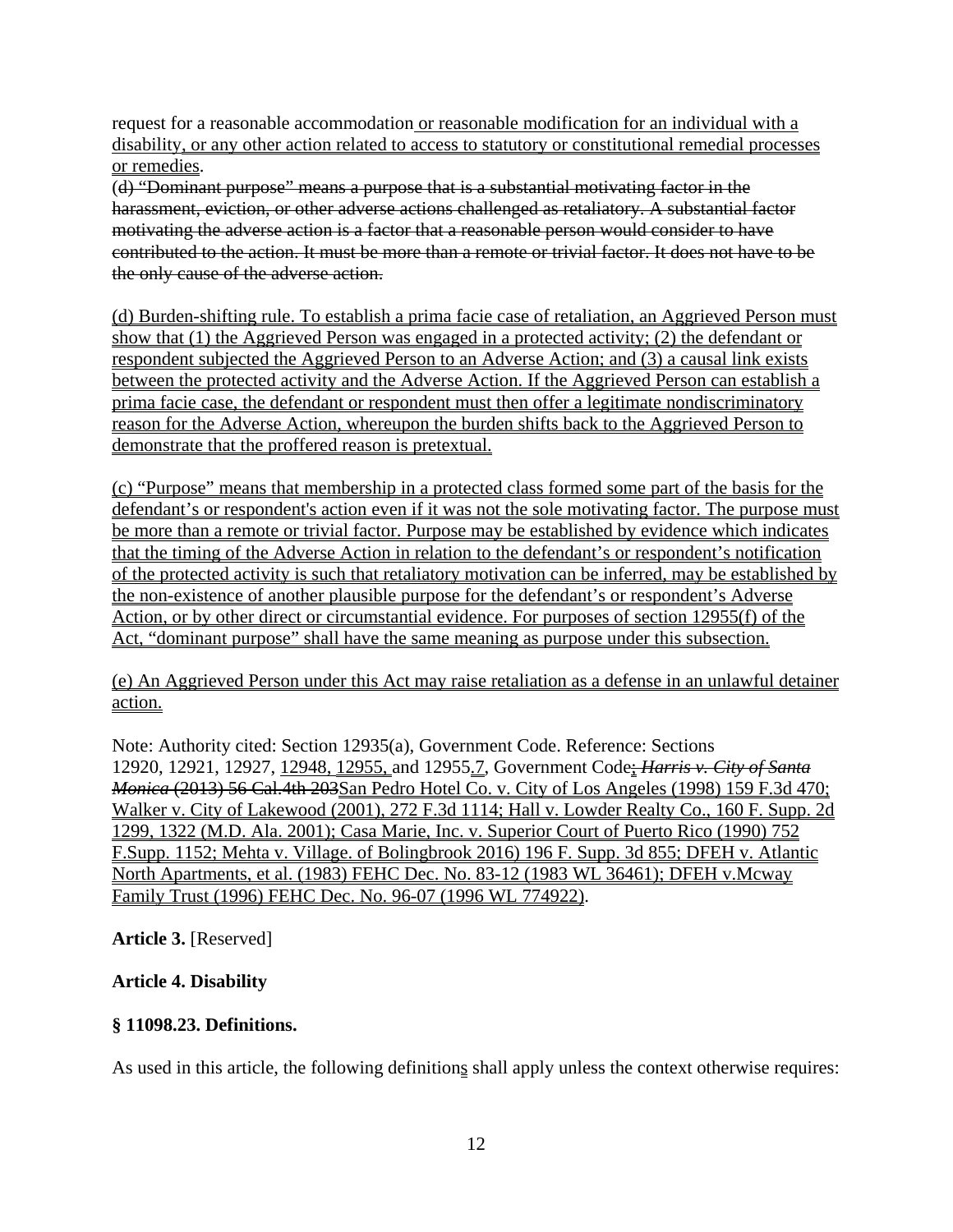request for a reasonable accommodation or reasonable modification for an individual with a disability, or any other action related to access to statutory or constitutional remedial processes or remedies.

(d) "Dominant purpose" means a purpose that is a substantial motivating factor in the harassment, eviction, or other adverse actions challenged as retaliatory. A substantial factor motivating the adverse action is a factor that a reasonable person would consider to have contributed to the action. It must be more than a remote or trivial factor. It does not have to be the only cause of the adverse action.

(d) Burden-shifting rule. To establish a prima facie case of retaliation, an Aggrieved Person must show that (1) the Aggrieved Person was engaged in a protected activity; (2) the defendant or respondent subjected the Aggrieved Person to an Adverse Action; and (3) a causal link exists between the protected activity and the Adverse Action. If the Aggrieved Person can establish a prima facie case, the defendant or respondent must then offer a legitimate nondiscriminatory reason for the Adverse Action, whereupon the burden shifts back to the Aggrieved Person to demonstrate that the proffered reason is pretextual.

(c) "Purpose" means that membership in a protected class formed some part of the basis for the defendant's or respondent's action even if it was not the sole motivating factor. The purpose must be more than a remote or trivial factor. Purpose may be established by evidence which indicates that the timing of the Adverse Action in relation to the defendant's or respondent's notification of the protected activity is such that retaliatory motivation can be inferred, may be established by the non-existence of another plausible purpose for the defendant's or respondent's Adverse Action, or by other direct or circumstantial evidence. For purposes of section 12955(f) of the Act, "dominant purpose" shall have the same meaning as purpose under this subsection.

(e) An Aggrieved Person under this Act may raise retaliation as a defense in an unlawful detainer action.

Note: Authority cited: Section 12935(a), Government Code. Reference: Sections 12920, 12921, 12927, 12948, 12955, and 12955.7, Government Code; *Harris v. City of Santa Monica* (2013) 56 Cal.4th 203San Pedro Hotel Co. v. City of Los Angeles (1998) 159 F.3d 470; Walker v. City of Lakewood (2001), 272 F.3d 1114; Hall v. Lowder Realty Co., 160 F. Supp. 2d 1299, 1322 (M.D. Ala. 2001); Casa Marie, Inc. v. Superior Court of Puerto Rico (1990) 752 F.Supp. 1152; Mehta v. Village. of Bolingbrook 2016) 196 F. Supp. 3d 855; DFEH v. Atlantic North Apartments, et al. (1983) FEHC Dec. No. 83-12 (1983 WL 36461); DFEH v.Mcway Family Trust (1996) FEHC Dec. No. 96-07 (1996 WL 774922).

**Article 3.** [Reserved]

# **Article 4. Disability**

## **§ 11098.23. Definitions.**

As used in this article, the following definitions shall apply unless the context otherwise requires: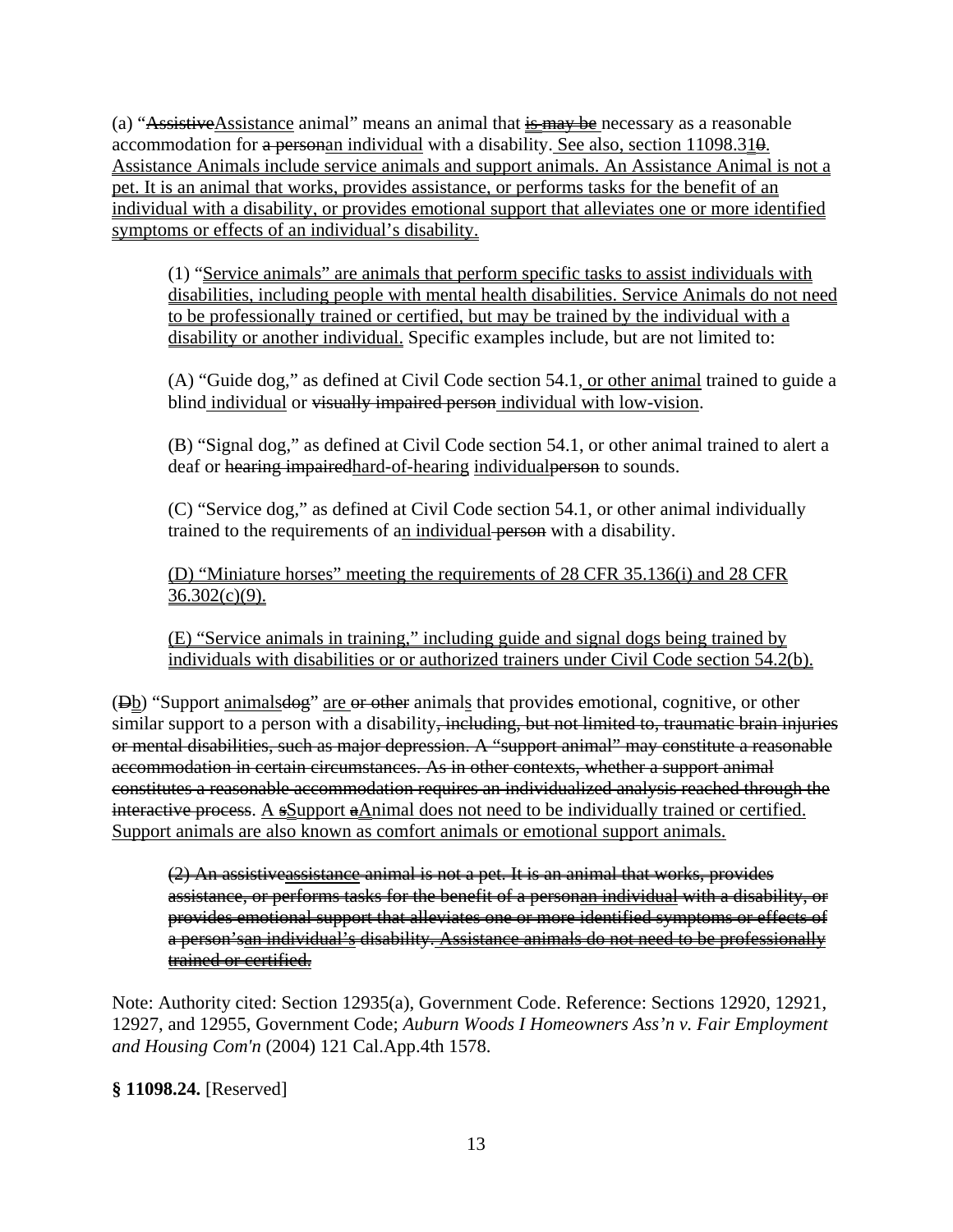(a) "AssistiveAssistance animal" means an animal that  $\frac{1}{15}$  may be necessary as a reasonable accommodation for a personan individual with a disability. See also, section  $11098.31\theta$ . Assistance Animals include service animals and support animals. An Assistance Animal is not a pet. It is an animal that works, provides assistance, or performs tasks for the benefit of an individual with a disability, or provides emotional support that alleviates one or more identified symptoms or effects of an individual's disability.

(1) "Service animals" are animals that perform specific tasks to assist individuals with disabilities, including people with mental health disabilities. Service Animals do not need to be professionally trained or certified, but may be trained by the individual with a disability or another individual. Specific examples include, but are not limited to:

(A) "Guide dog," as defined at Civil Code section 54.1, or other animal trained to guide a blind individual or visually impaired person individual with low-vision.

(B) "Signal dog," as defined at Civil Code section 54.1, or other animal trained to alert a deaf or hearing impaired hard-of-hearing individual person to sounds.

(C) "Service dog," as defined at Civil Code section 54.1, or other animal individually trained to the requirements of an individual person with a disability.

(D) "Miniature horses" meeting the requirements of 28 CFR 35.136(i) and 28 CFR  $36.302(c)(9)$ .

(E) "Service animals in training," including guide and signal dogs being trained by individuals with disabilities or or authorized trainers under Civil Code section 54.2(b).

(Db) "Support animalsdog" are or other animals that provides emotional, cognitive, or other similar support to a person with a disability<del>, including, but not limited to, traumatic brain injuries</del> or mental disabilities, such as major depression. A "support animal" may constitute a reasonable accommodation in certain circumstances. As in other contexts, whether a support animal constitutes a reasonable accommodation requires an individualized analysis reached through the interactive process. A  $s$ Support  $a$ Animal does not need to be individually trained or certified. Support animals are also known as comfort animals or emotional support animals.

(2) An assistiveassistance animal is not a pet. It is an animal that works, provides assistance, or performs tasks for the benefit of a personan individual with a disability, or provides emotional support that alleviates one or more identified symptoms or effects of a person'san individual's disability. Assistance animals do not need to be professionally trained or certified.

Note: Authority cited: Section 12935(a), Government Code. Reference: Sections 12920, 12921, 12927, and 12955, Government Code; *Auburn Woods I Homeowners Ass'n v. Fair Employment and Housing Com'n* (2004) 121 Cal.App.4th 1578.

# **§ 11098.24.** [Reserved]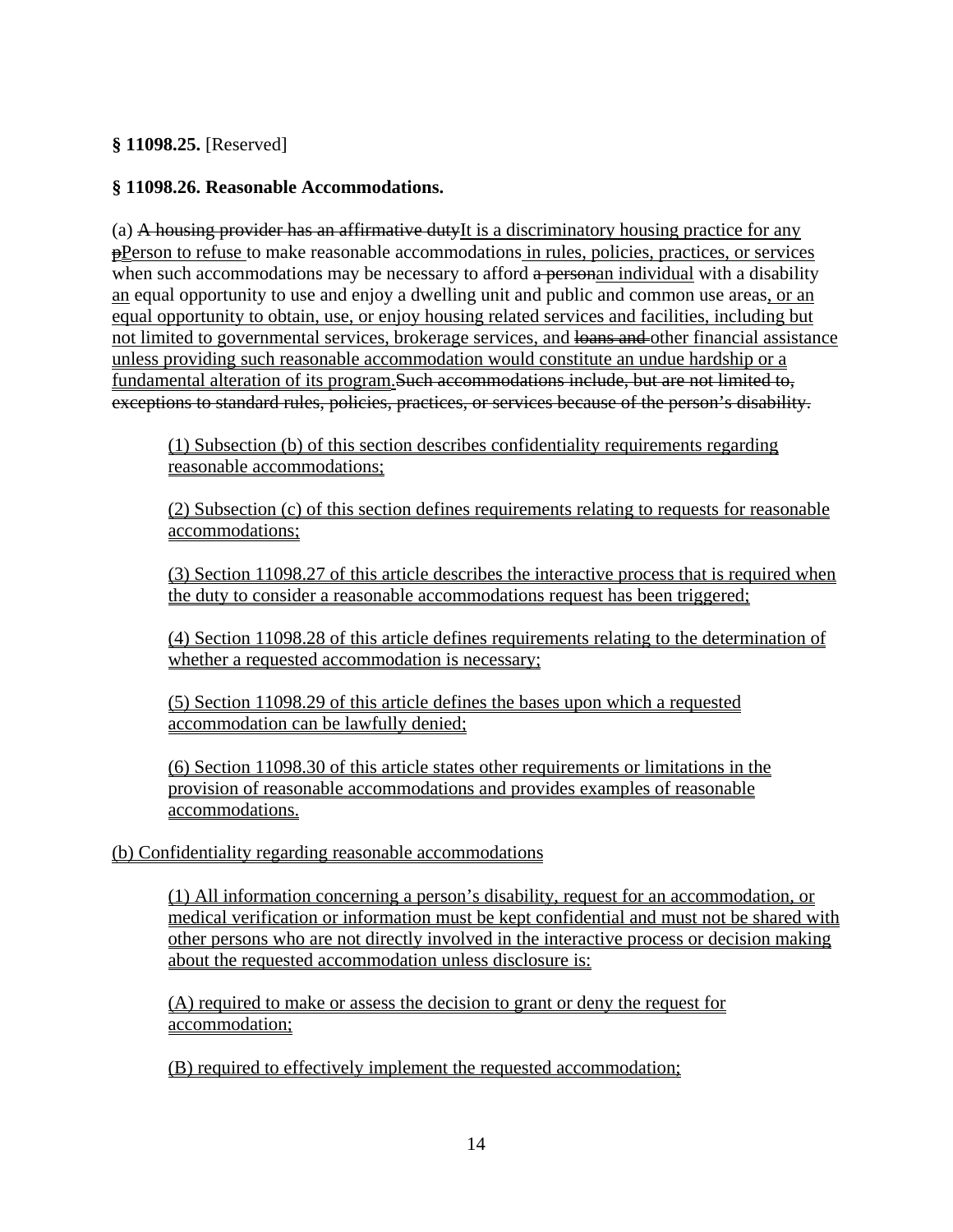**§ 11098.25.** [Reserved]

# **§ 11098.26. Reasonable Accommodations.**

(a) A housing provider has an affirmative dutyIt is a discriminatory housing practice for any  $\frac{\text{P}}{\text{Person}}$  to refuse to make reasonable accommodations in rules, policies, practices, or services when such accommodations may be necessary to afford a personan individual with a disability an equal opportunity to use and enjoy a dwelling unit and public and common use areas, or an equal opportunity to obtain, use, or enjoy housing related services and facilities, including but not limited to governmental services, brokerage services, and loans and other financial assistance unless providing such reasonable accommodation would constitute an undue hardship or a fundamental alteration of its program.Such accommodations include, but are not limited to, exceptions to standard rules, policies, practices, or services because of the person's disability.

(1) Subsection (b) of this section describes confidentiality requirements regarding reasonable accommodations;

(2) Subsection (c) of this section defines requirements relating to requests for reasonable accommodations;

(3) Section 11098.27 of this article describes the interactive process that is required when the duty to consider a reasonable accommodations request has been triggered;

(4) Section 11098.28 of this article defines requirements relating to the determination of whether a requested accommodation is necessary;

(5) Section 11098.29 of this article defines the bases upon which a requested accommodation can be lawfully denied;

(6) Section 11098.30 of this article states other requirements or limitations in the provision of reasonable accommodations and provides examples of reasonable accommodations.

## (b) Confidentiality regarding reasonable accommodations

(1) All information concerning a person's disability, request for an accommodation, or medical verification or information must be kept confidential and must not be shared with other persons who are not directly involved in the interactive process or decision making about the requested accommodation unless disclosure is:

(A) required to make or assess the decision to grant or deny the request for accommodation;

(B) required to effectively implement the requested accommodation;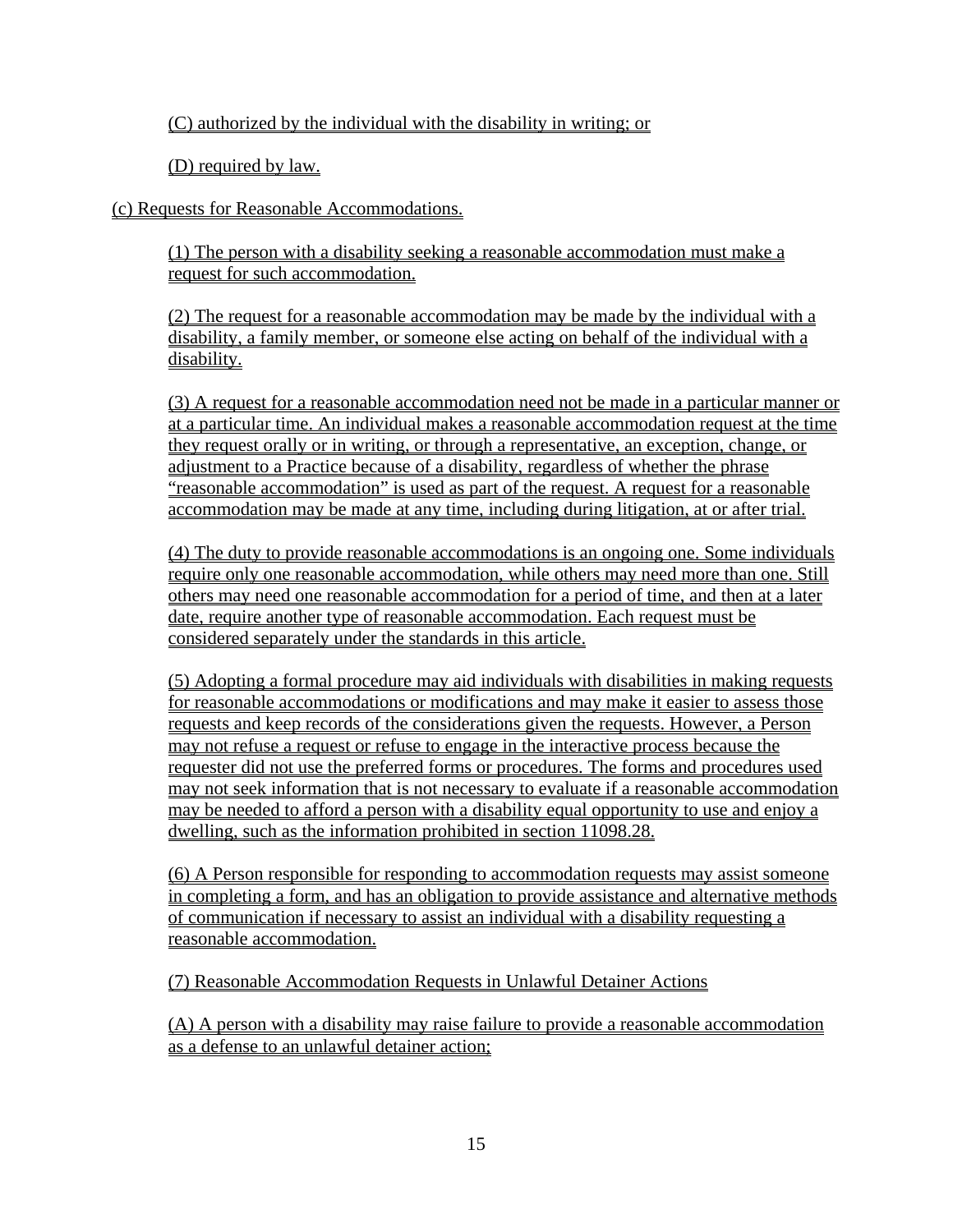(C) authorized by the individual with the disability in writing; or

(D) required by law.

(c) Requests for Reasonable Accommodations.

(1) The person with a disability seeking a reasonable accommodation must make a request for such accommodation.

(2) The request for a reasonable accommodation may be made by the individual with a disability, a family member, or someone else acting on behalf of the individual with a disability.

(3) A request for a reasonable accommodation need not be made in a particular manner or at a particular time. An individual makes a reasonable accommodation request at the time they request orally or in writing, or through a representative, an exception, change, or adjustment to a Practice because of a disability, regardless of whether the phrase "reasonable accommodation" is used as part of the request. A request for a reasonable accommodation may be made at any time, including during litigation, at or after trial.

(4) The duty to provide reasonable accommodations is an ongoing one. Some individuals require only one reasonable accommodation, while others may need more than one. Still others may need one reasonable accommodation for a period of time, and then at a later date, require another type of reasonable accommodation. Each request must be considered separately under the standards in this article.

(5) Adopting a formal procedure may aid individuals with disabilities in making requests for reasonable accommodations or modifications and may make it easier to assess those requests and keep records of the considerations given the requests. However, a Person may not refuse a request or refuse to engage in the interactive process because the requester did not use the preferred forms or procedures. The forms and procedures used may not seek information that is not necessary to evaluate if a reasonable accommodation may be needed to afford a person with a disability equal opportunity to use and enjoy a dwelling, such as the information prohibited in section 11098.28.

(6) A Person responsible for responding to accommodation requests may assist someone in completing a form, and has an obligation to provide assistance and alternative methods of communication if necessary to assist an individual with a disability requesting a reasonable accommodation.

(7) Reasonable Accommodation Requests in Unlawful Detainer Actions

(A) A person with a disability may raise failure to provide a reasonable accommodation as a defense to an unlawful detainer action;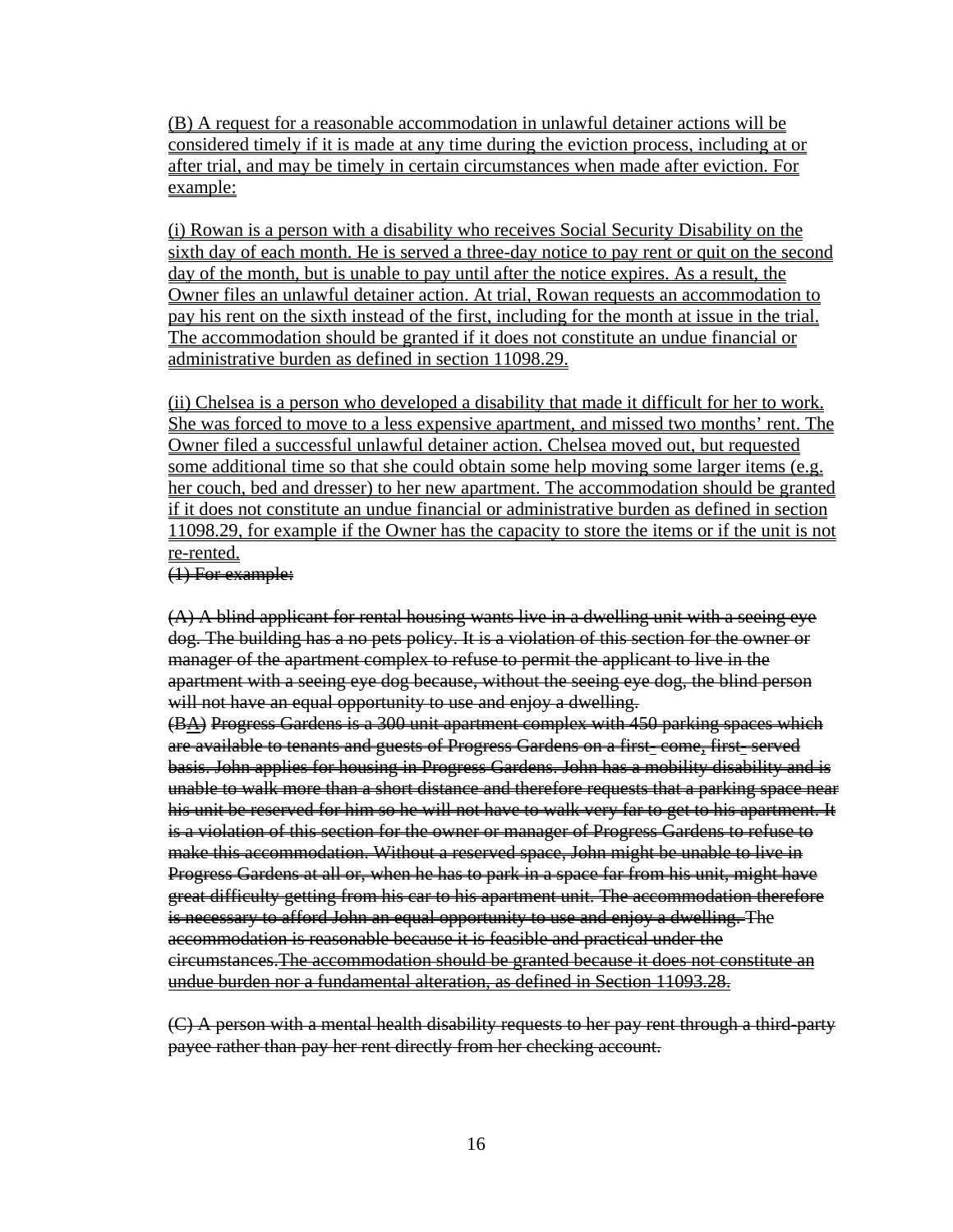(B) A request for a reasonable accommodation in unlawful detainer actions will be considered timely if it is made at any time during the eviction process, including at or after trial, and may be timely in certain circumstances when made after eviction. For example:

(i) Rowan is a person with a disability who receives Social Security Disability on the sixth day of each month. He is served a three-day notice to pay rent or quit on the second day of the month, but is unable to pay until after the notice expires. As a result, the Owner files an unlawful detainer action. At trial, Rowan requests an accommodation to pay his rent on the sixth instead of the first, including for the month at issue in the trial. The accommodation should be granted if it does not constitute an undue financial or administrative burden as defined in section 11098.29.

(ii) Chelsea is a person who developed a disability that made it difficult for her to work. She was forced to move to a less expensive apartment, and missed two months' rent. The Owner filed a successful unlawful detainer action. Chelsea moved out, but requested some additional time so that she could obtain some help moving some larger items (e.g. her couch, bed and dresser) to her new apartment. The accommodation should be granted if it does not constitute an undue financial or administrative burden as defined in section 11098.29, for example if the Owner has the capacity to store the items or if the unit is not re-rented.

#### (1) For example:

(A) A blind applicant for rental housing wants live in a dwelling unit with a seeing eye dog. The building has a no pets policy. It is a violation of this section for the owner or manager of the apartment complex to refuse to permit the applicant to live in the apartment with a seeing eye dog because, without the seeing eye dog, the blind person will not have an equal opportunity to use and enjoy a dwelling.

(BA) Progress Gardens is a 300 unit apartment complex with 450 parking spaces which are available to tenants and guests of Progress Gardens on a first- come, first- served basis. John applies for housing in Progress Gardens. John has a mobility disability and is unable to walk more than a short distance and therefore requests that a parking space near his unit be reserved for him so he will not have to walk very far to get to his apartment. It is a violation of this section for the owner or manager of Progress Gardens to refuse to make this accommodation. Without a reserved space, John might be unable to live in Progress Gardens at all or, when he has to park in a space far from his unit, might have great difficulty getting from his car to his apartment unit. The accommodation therefore is necessary to afford John an equal opportunity to use and enjoy a dwelling. The accommodation is reasonable because it is feasible and practical under the circumstances.The accommodation should be granted because it does not constitute an undue burden nor a fundamental alteration, as defined in Section 11093.28.

(C) A person with a mental health disability requests to her pay rent through a third-party payee rather than pay her rent directly from her checking account.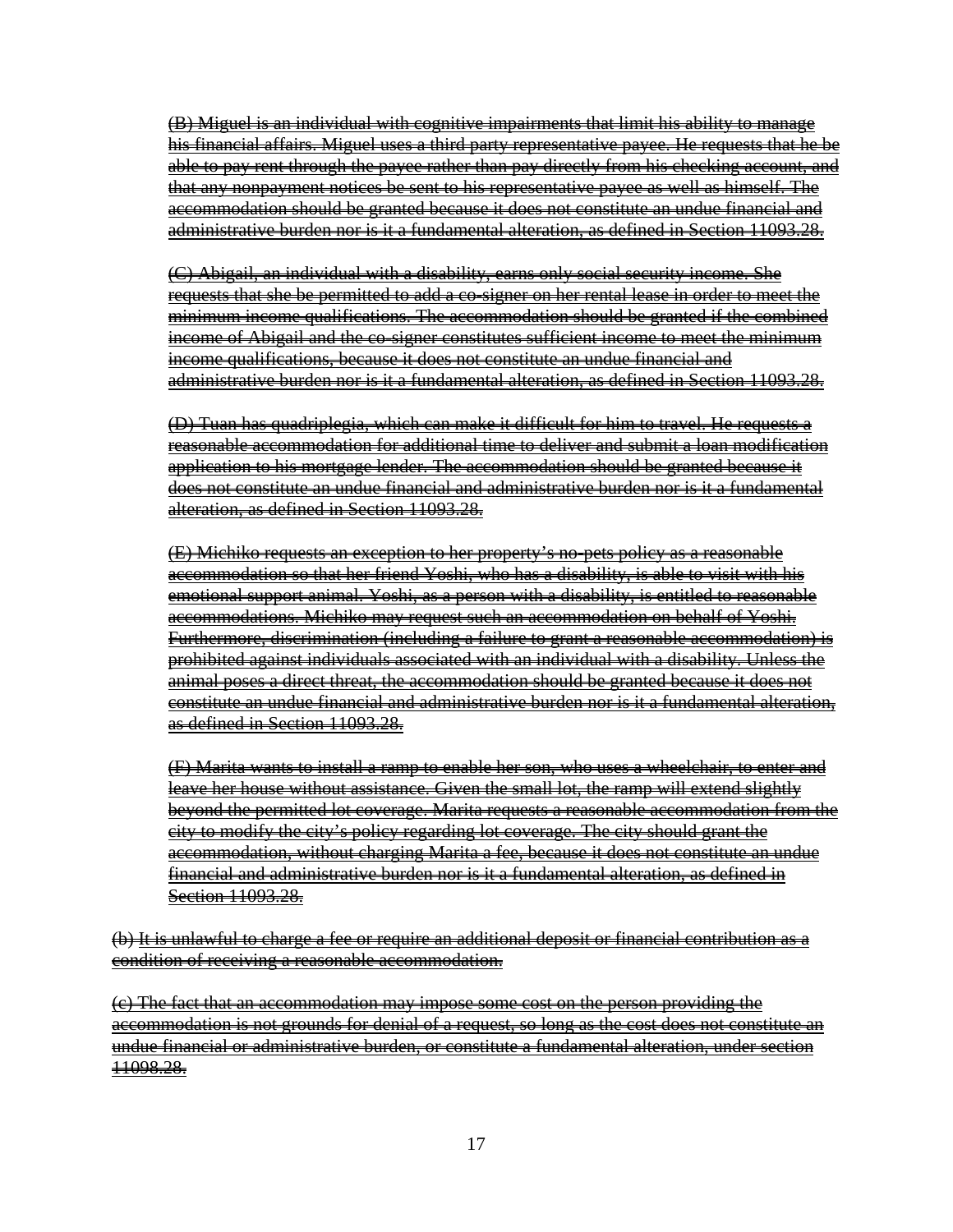(B) Miguel is an individual with cognitive impairments that limit his ability to manage his financial affairs. Miguel uses a third party representative payee. He requests that he be able to pay rent through the payee rather than pay directly from his checking account, and that any nonpayment notices be sent to his representative payee as well as himself. The accommodation should be granted because it does not constitute an undue financial and administrative burden nor is it a fundamental alteration, as defined in Section 11093.28.

(C) Abigail, an individual with a disability, earns only social security income. She requests that she be permitted to add a co-signer on her rental lease in order to meet the minimum income qualifications. The accommodation should be granted if the combined income of Abigail and the co-signer constitutes sufficient income to meet the minimum income qualifications, because it does not constitute an undue financial and administrative burden nor is it a fundamental alteration, as defined in Section 11093.28.

(D) Tuan has quadriplegia, which can make it difficult for him to travel. He requests a reasonable accommodation for additional time to deliver and submit a loan modification application to his mortgage lender. The accommodation should be granted because it does not constitute an undue financial and administrative burden nor is it a fundamental alteration, as defined in Section 11093.28.

(E) Michiko requests an exception to her property's no-pets policy as a reasonable accommodation so that her friend Yoshi, who has a disability, is able to visit with his emotional support animal. Yoshi, as a person with a disability, is entitled to reasonable accommodations. Michiko may request such an accommodation on behalf of Yoshi. Furthermore, discrimination (including a failure to grant a reasonable accommodation) is prohibited against individuals associated with an individual with a disability. Unless the animal poses a direct threat, the accommodation should be granted because it does not constitute an undue financial and administrative burden nor is it a fundamental alteration, as defined in Section 11093.28.

(F) Marita wants to install a ramp to enable her son, who uses a wheelchair, to enter and leave her house without assistance. Given the small lot, the ramp will extend slightly beyond the permitted lot coverage. Marita requests a reasonable accommodation from the city to modify the city's policy regarding lot coverage. The city should grant the accommodation, without charging Marita a fee, because it does not constitute an undue financial and administrative burden nor is it a fundamental alteration, as defined in Section 11093.28.

(b) It is unlawful to charge a fee or require an additional deposit or financial contribution as a condition of receiving a reasonable accommodation.

(c) The fact that an accommodation may impose some cost on the person providing the accommodation is not grounds for denial of a request, so long as the cost does not constitute an undue financial or administrative burden, or constitute a fundamental alteration, under section 11098.28.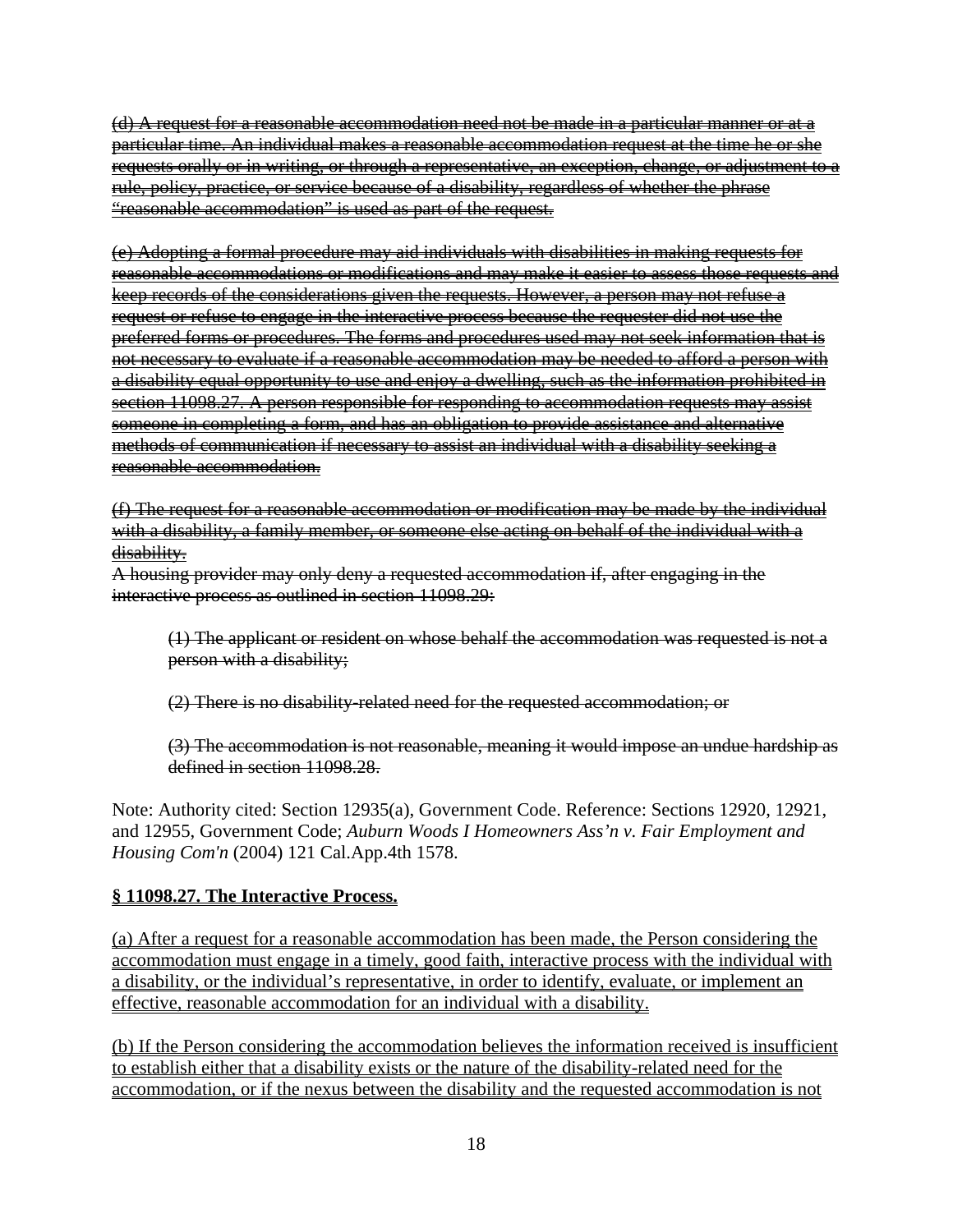(d) A request for a reasonable accommodation need not be made in a particular manner or at a particular time. An individual makes a reasonable accommodation request at the time he or she requests orally or in writing, or through a representative, an exception, change, or adjustment to a rule, policy, practice, or service because of a disability, regardless of whether the phrase "reasonable accommodation" is used as part of the request.

(e) Adopting a formal procedure may aid individuals with disabilities in making requests for reasonable accommodations or modifications and may make it easier to assess those requests and keep records of the considerations given the requests. However, a person may not refuse a request or refuse to engage in the interactive process because the requester did not use the preferred forms or procedures. The forms and procedures used may not seek information that is not necessary to evaluate if a reasonable accommodation may be needed to afford a person with a disability equal opportunity to use and enjoy a dwelling, such as the information prohibited in section 11098.27. A person responsible for responding to accommodation requests may assist someone in completing a form, and has an obligation to provide assistance and alternative methods of communication if necessary to assist an individual with a disability seeking a reasonable accommodation.

(f) The request for a reasonable accommodation or modification may be made by the individual with a disability, a family member, or someone else acting on behalf of the individual with a disability.

A housing provider may only deny a requested accommodation if, after engaging in the interactive process as outlined in section 11098.29:

(1) The applicant or resident on whose behalf the accommodation was requested is not a person with a disability;

(2) There is no disability-related need for the requested accommodation; or

(3) The accommodation is not reasonable, meaning it would impose an undue hardship as defined in section 11098.28.

Note: Authority cited: Section 12935(a), Government Code. Reference: Sections 12920, 12921, and 12955, Government Code; *Auburn Woods I Homeowners Ass'n v. Fair Employment and Housing Com'n* (2004) 121 Cal.App.4th 1578.

# **§ 11098.27. The Interactive Process.**

(a) After a request for a reasonable accommodation has been made, the Person considering the accommodation must engage in a timely, good faith, interactive process with the individual with a disability, or the individual's representative, in order to identify, evaluate, or implement an effective, reasonable accommodation for an individual with a disability.

(b) If the Person considering the accommodation believes the information received is insufficient to establish either that a disability exists or the nature of the disability-related need for the accommodation, or if the nexus between the disability and the requested accommodation is not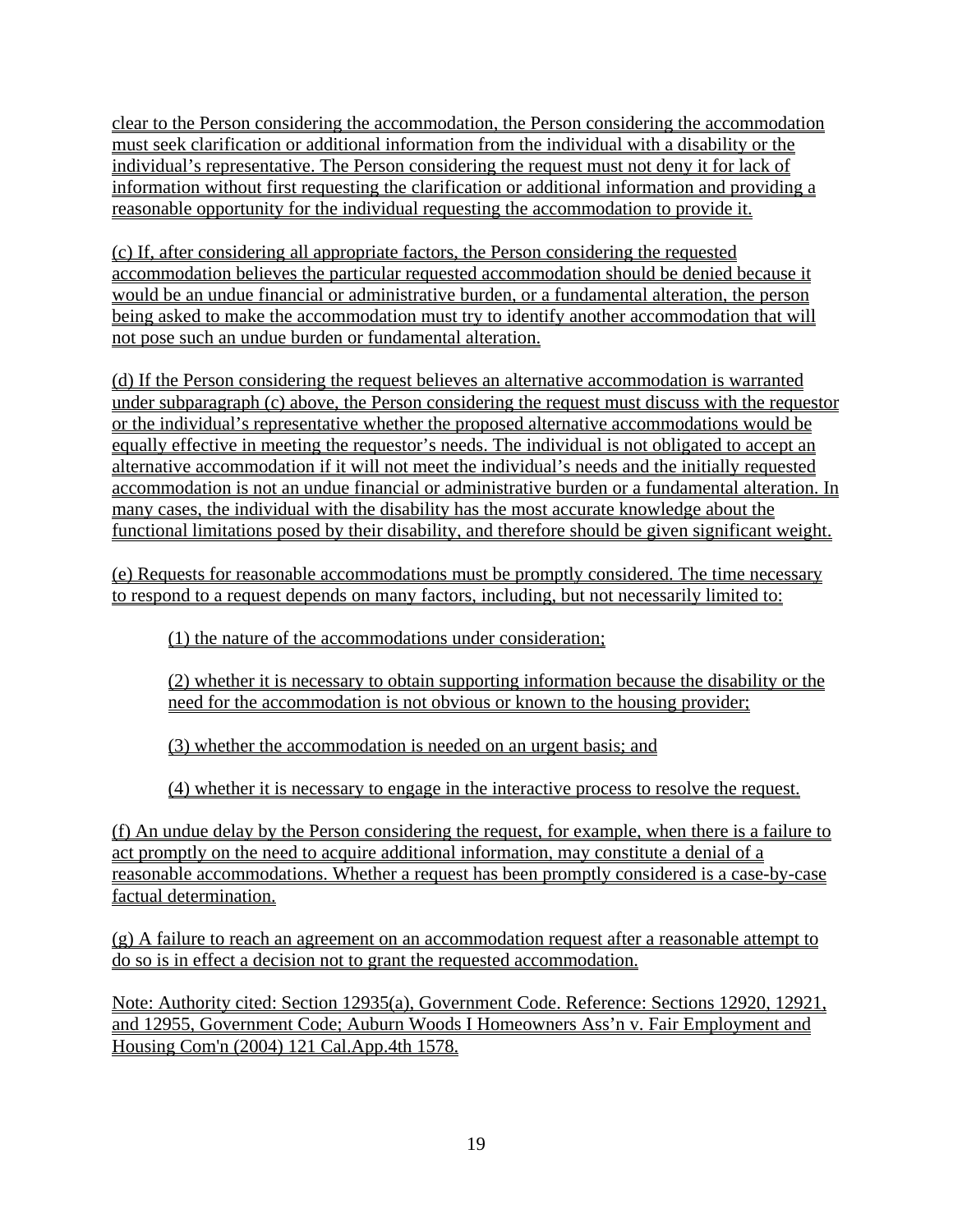clear to the Person considering the accommodation, the Person considering the accommodation must seek clarification or additional information from the individual with a disability or the individual's representative. The Person considering the request must not deny it for lack of information without first requesting the clarification or additional information and providing a reasonable opportunity for the individual requesting the accommodation to provide it.

(c) If, after considering all appropriate factors, the Person considering the requested accommodation believes the particular requested accommodation should be denied because it would be an undue financial or administrative burden, or a fundamental alteration, the person being asked to make the accommodation must try to identify another accommodation that will not pose such an undue burden or fundamental alteration.

(d) If the Person considering the request believes an alternative accommodation is warranted under subparagraph (c) above, the Person considering the request must discuss with the requestor or the individual's representative whether the proposed alternative accommodations would be equally effective in meeting the requestor's needs. The individual is not obligated to accept an alternative accommodation if it will not meet the individual's needs and the initially requested accommodation is not an undue financial or administrative burden or a fundamental alteration. In many cases, the individual with the disability has the most accurate knowledge about the functional limitations posed by their disability, and therefore should be given significant weight.

(e) Requests for reasonable accommodations must be promptly considered. The time necessary to respond to a request depends on many factors, including, but not necessarily limited to:

(1) the nature of the accommodations under consideration;

(2) whether it is necessary to obtain supporting information because the disability or the need for the accommodation is not obvious or known to the housing provider;

(3) whether the accommodation is needed on an urgent basis; and

(4) whether it is necessary to engage in the interactive process to resolve the request.

(f) An undue delay by the Person considering the request, for example, when there is a failure to act promptly on the need to acquire additional information, may constitute a denial of a reasonable accommodations. Whether a request has been promptly considered is a case-by-case factual determination.

(g) A failure to reach an agreement on an accommodation request after a reasonable attempt to do so is in effect a decision not to grant the requested accommodation.

Note: Authority cited: Section 12935(a), Government Code. Reference: Sections 12920, 12921, and 12955, Government Code; Auburn Woods I Homeowners Ass'n v. Fair Employment and Housing Com'n (2004) 121 Cal.App.4th 1578.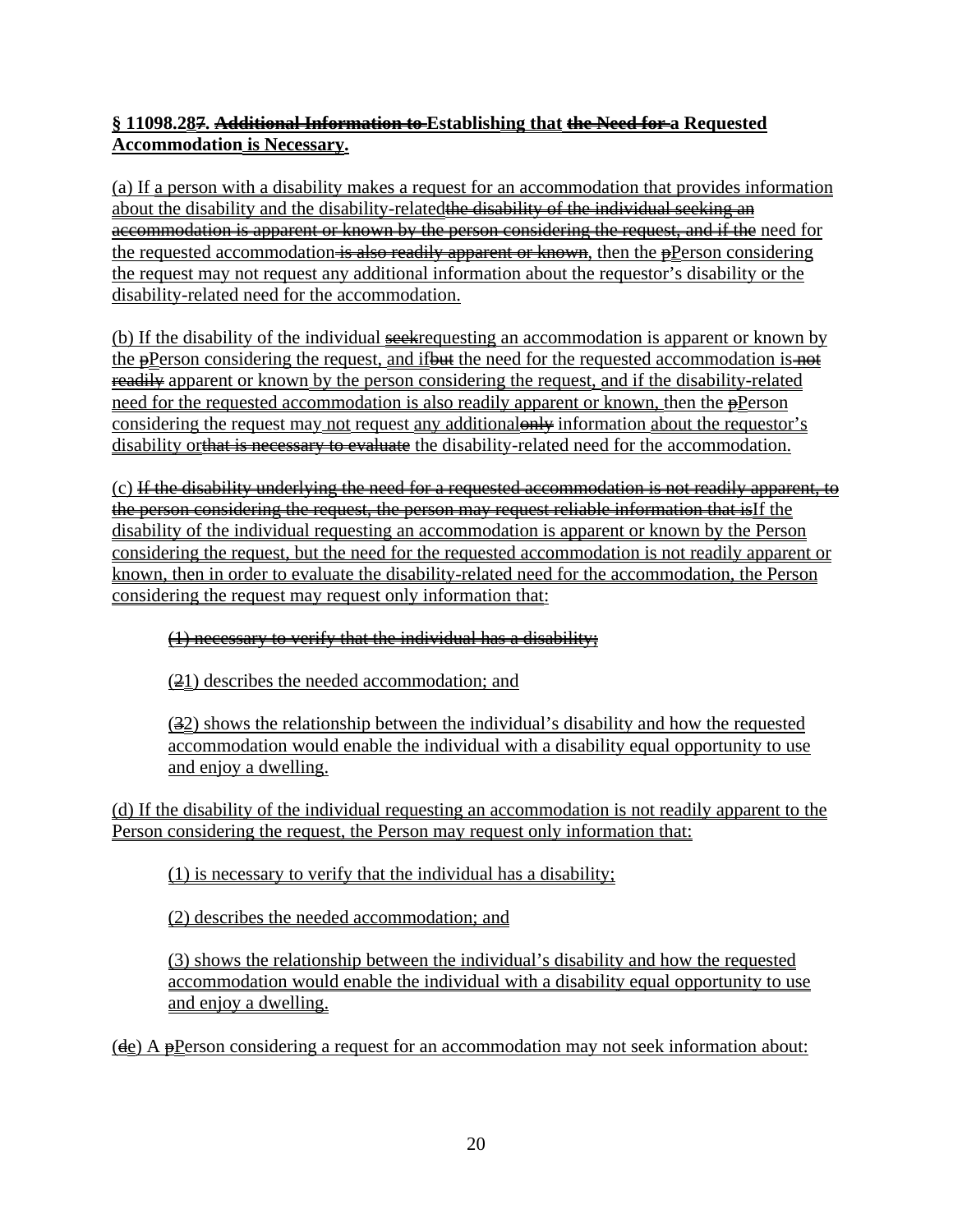# **§ 11098.287. Additional Information to Establishing that the Need for a Requested Accommodation is Necessary.**

(a) If a person with a disability makes a request for an accommodation that provides information about the disability and the disability-related the disability of the individual seeking an accommodation is apparent or known by the person considering the request, and if the need for the requested accommodation is also readily apparent or known, then the  $p$ Person considering the request may not request any additional information about the requestor's disability or the disability-related need for the accommodation.

(b) If the disability of the individual seek requesting an accommodation is apparent or known by the  $\frac{\rho}{\rho}$  erson considering the request, and if but the need for the requested accommodation is not readily apparent or known by the person considering the request, and if the disability-related need for the requested accommodation is also readily apparent or known, then the  $\frac{1}{2}$ Person considering the request may not request any additional only information about the requestor's disability orthat is necessary to evaluate the disability-related need for the accommodation.

 $(c)$  If the disability underlying the need for a requested accommodation is not readily apparent, to the person considering the request, the person may request reliable information that isIf the disability of the individual requesting an accommodation is apparent or known by the Person considering the request, but the need for the requested accommodation is not readily apparent or known, then in order to evaluate the disability-related need for the accommodation, the Person considering the request may request only information that:

## (1) necessary to verify that the individual has a disability;

(21) describes the needed accommodation; and

(32) shows the relationship between the individual's disability and how the requested accommodation would enable the individual with a disability equal opportunity to use and enjoy a dwelling.

(d) If the disability of the individual requesting an accommodation is not readily apparent to the Person considering the request, the Person may request only information that:

(1) is necessary to verify that the individual has a disability;

(2) describes the needed accommodation; and

(3) shows the relationship between the individual's disability and how the requested accommodation would enable the individual with a disability equal opportunity to use and enjoy a dwelling.

(de) A pPerson considering a request for an accommodation may not seek information about: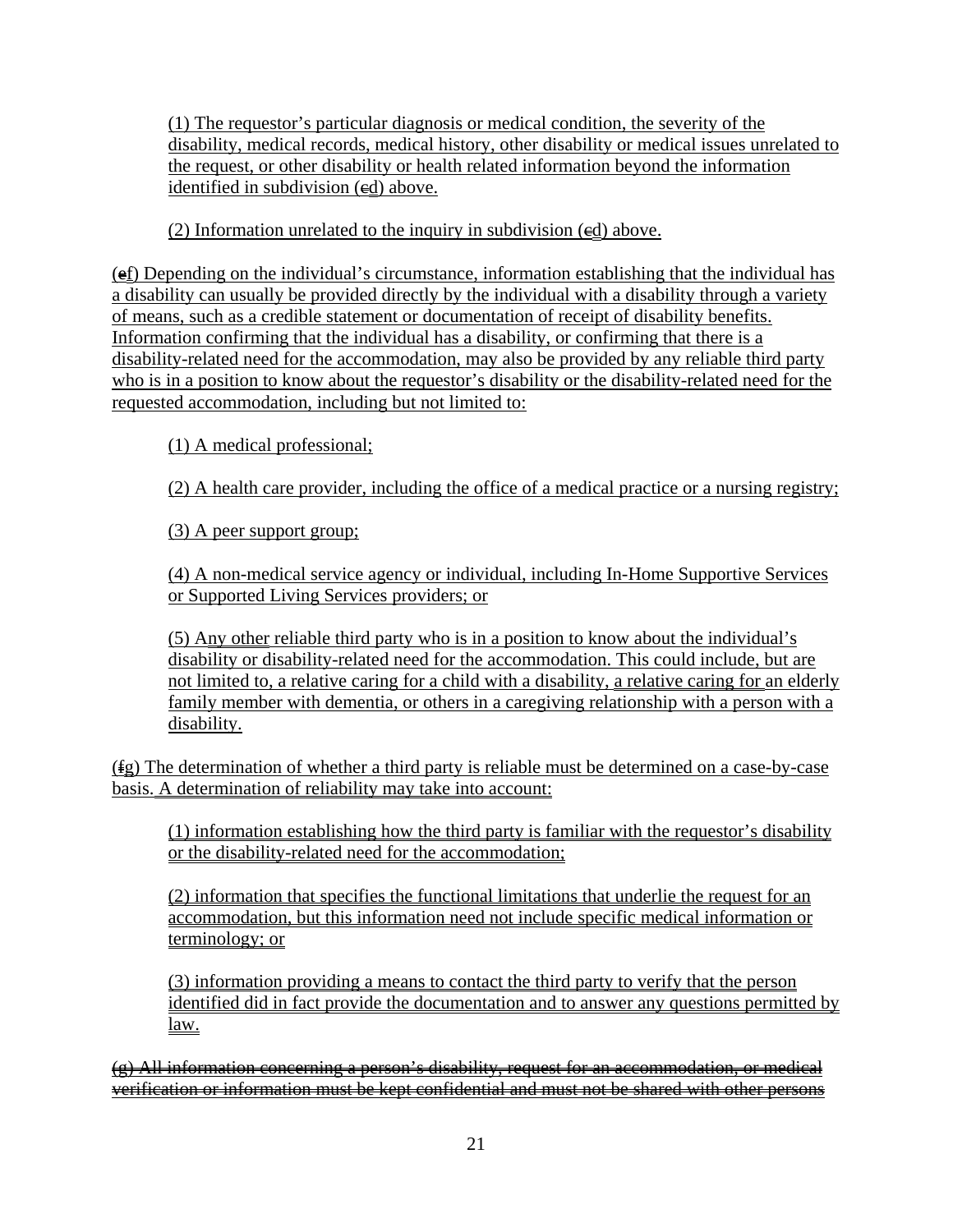(1) The requestor's particular diagnosis or medical condition, the severity of the disability, medical records, medical history, other disability or medical issues unrelated to the request, or other disability or health related information beyond the information identified in subdivision  $(\text{ed})$  above.

(2) Information unrelated to the inquiry in subdivision  $(\text{ed})$  above.

 $(e_i)$  Depending on the individual's circumstance, information establishing that the individual has a disability can usually be provided directly by the individual with a disability through a variety of means, such as a credible statement or documentation of receipt of disability benefits. Information confirming that the individual has a disability, or confirming that there is a disability-related need for the accommodation, may also be provided by any reliable third party who is in a position to know about the requestor's disability or the disability-related need for the requested accommodation, including but not limited to:

(1) A medical professional;

(2) A health care provider, including the office of a medical practice or a nursing registry;

(3) A peer support group;

(4) A non-medical service agency or individual, including In-Home Supportive Services or Supported Living Services providers; or

(5) Any other reliable third party who is in a position to know about the individual's disability or disability-related need for the accommodation. This could include, but are not limited to, a relative caring for a child with a disability, a relative caring for an elderly family member with dementia, or others in a caregiving relationship with a person with a disability.

(fg) The determination of whether a third party is reliable must be determined on a case-by-case basis. A determination of reliability may take into account:

(1) information establishing how the third party is familiar with the requestor's disability or the disability-related need for the accommodation;

(2) information that specifies the functional limitations that underlie the request for an accommodation, but this information need not include specific medical information or terminology; or

(3) information providing a means to contact the third party to verify that the person identified did in fact provide the documentation and to answer any questions permitted by law.

 $(e)$  All information concerning a person's disability, request for an accommodation, or medical verification or information must be kept confidential and must not be shared with other persons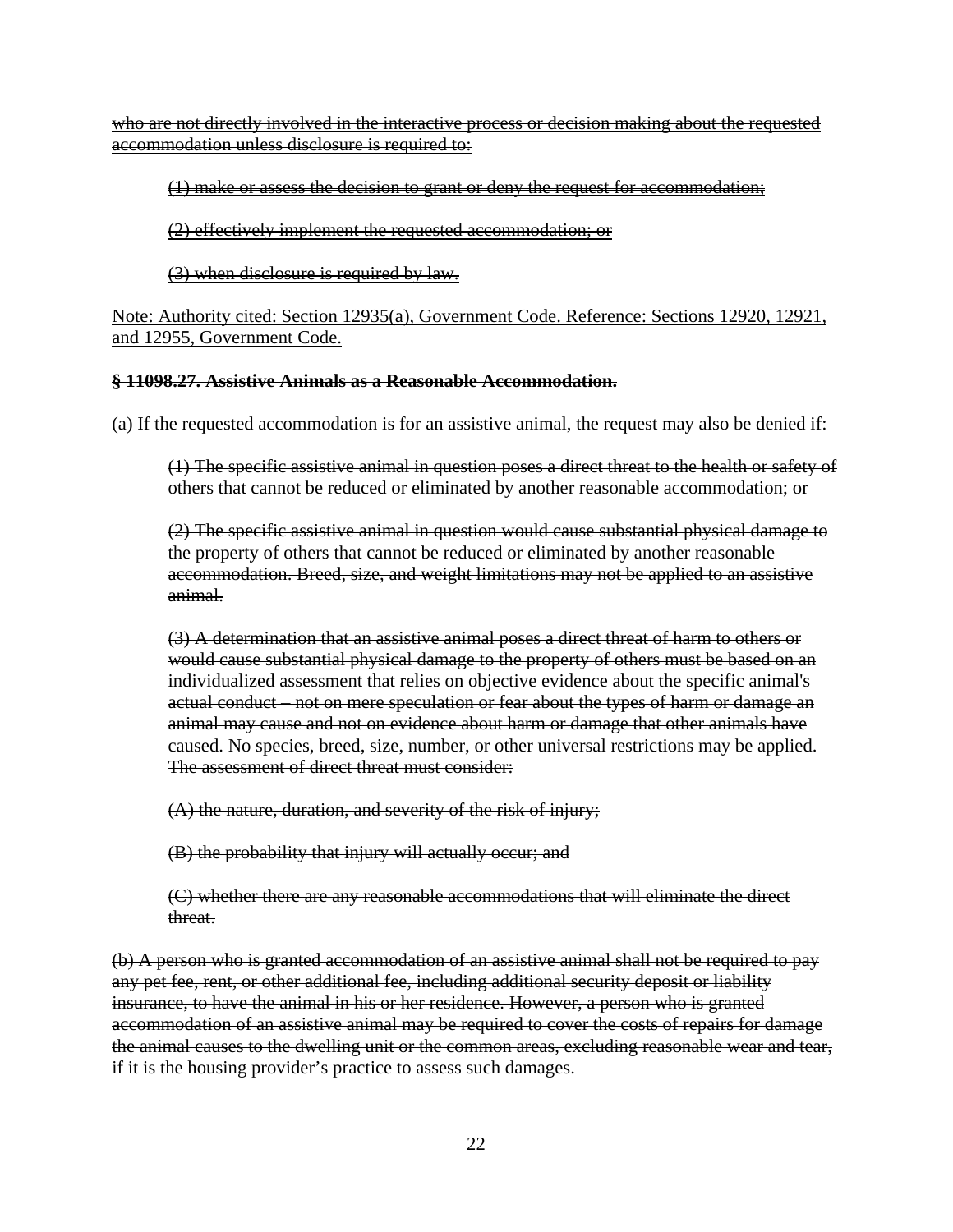who are not directly involved in the interactive process or decision making about the requested accommodation unless disclosure is required to:

#### (1) make or assess the decision to grant or deny the request for accommodation;

(2) effectively implement the requested accommodation; or

#### (3) when disclosure is required by law.

Note: Authority cited: Section 12935(a), Government Code. Reference: Sections 12920, 12921, and 12955, Government Code.

#### **§ 11098.27. Assistive Animals as a Reasonable Accommodation.**

(a) If the requested accommodation is for an assistive animal, the request may also be denied if:

(1) The specific assistive animal in question poses a direct threat to the health or safety of others that cannot be reduced or eliminated by another reasonable accommodation; or

(2) The specific assistive animal in question would cause substantial physical damage to the property of others that cannot be reduced or eliminated by another reasonable accommodation. Breed, size, and weight limitations may not be applied to an assistive animal.

(3) A determination that an assistive animal poses a direct threat of harm to others or would cause substantial physical damage to the property of others must be based on an individualized assessment that relies on objective evidence about the specific animal's actual conduct – not on mere speculation or fear about the types of harm or damage an animal may cause and not on evidence about harm or damage that other animals have caused. No species, breed, size, number, or other universal restrictions may be applied. The assessment of direct threat must consider:

(A) the nature, duration, and severity of the risk of injury;

(B) the probability that injury will actually occur; and

(C) whether there are any reasonable accommodations that will eliminate the direct threat.

(b) A person who is granted accommodation of an assistive animal shall not be required to pay any pet fee, rent, or other additional fee, including additional security deposit or liability insurance, to have the animal in his or her residence. However, a person who is granted accommodation of an assistive animal may be required to cover the costs of repairs for damage the animal causes to the dwelling unit or the common areas, excluding reasonable wear and tear, if it is the housing provider's practice to assess such damages.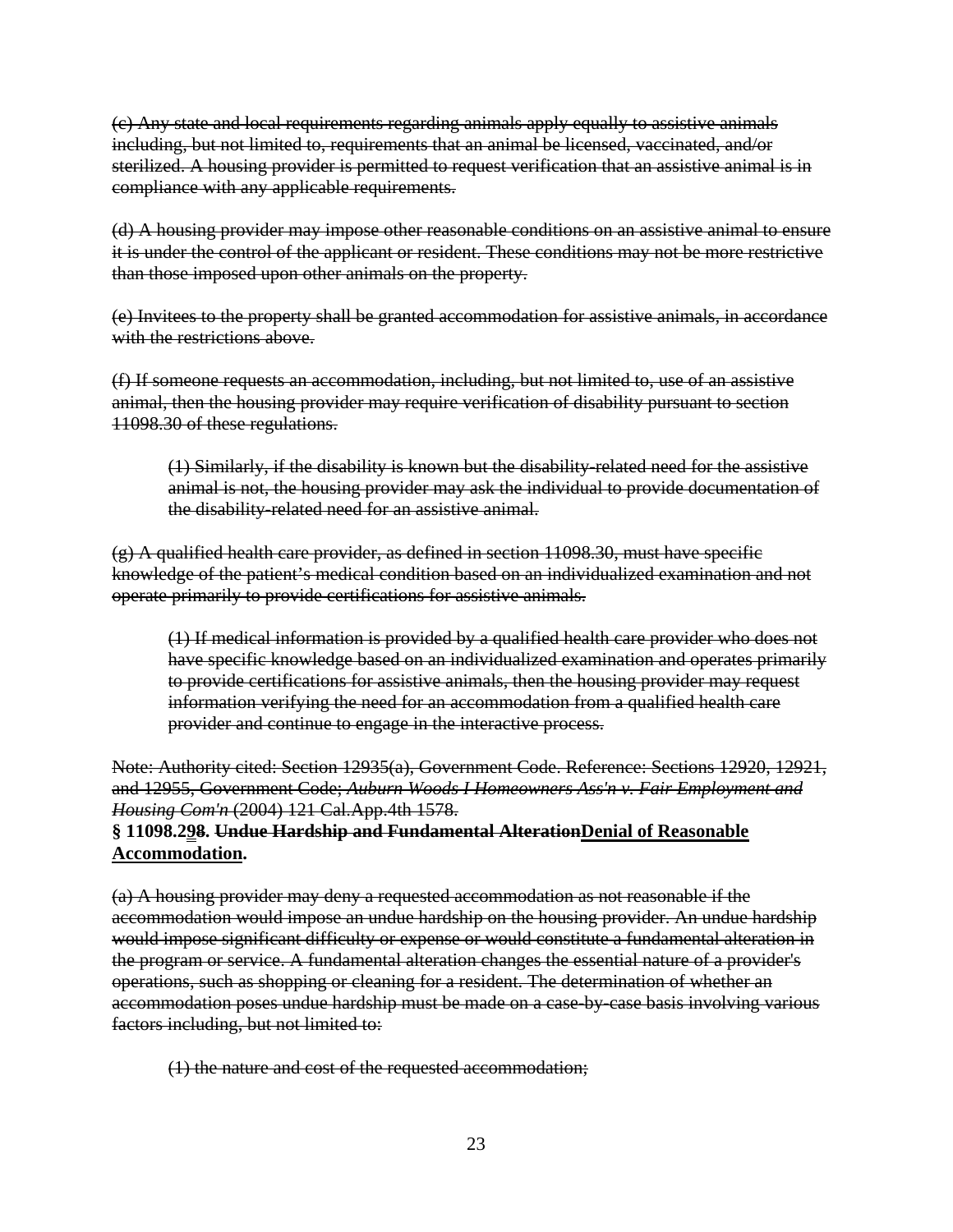(c) Any state and local requirements regarding animals apply equally to assistive animals including, but not limited to, requirements that an animal be licensed, vaccinated, and/or sterilized. A housing provider is permitted to request verification that an assistive animal is in compliance with any applicable requirements.

(d) A housing provider may impose other reasonable conditions on an assistive animal to ensure it is under the control of the applicant or resident. These conditions may not be more restrictive than those imposed upon other animals on the property.

(e) Invitees to the property shall be granted accommodation for assistive animals, in accordance with the restrictions above.

(f) If someone requests an accommodation, including, but not limited to, use of an assistive animal, then the housing provider may require verification of disability pursuant to section 11098.30 of these regulations.

(1) Similarly, if the disability is known but the disability-related need for the assistive animal is not, the housing provider may ask the individual to provide documentation of the disability-related need for an assistive animal.

(g) A qualified health care provider, as defined in section 11098.30, must have specific knowledge of the patient's medical condition based on an individualized examination and not operate primarily to provide certifications for assistive animals.

(1) If medical information is provided by a qualified health care provider who does not have specific knowledge based on an individualized examination and operates primarily to provide certifications for assistive animals, then the housing provider may request information verifying the need for an accommodation from a qualified health care provider and continue to engage in the interactive process.

Note: Authority cited: Section 12935(a), Government Code. Reference: Sections 12920, 12921, and 12955, Government Code; *Auburn Woods I Homeowners Ass'n v. Fair Employment and Housing Com'n* (2004) 121 Cal.App.4th 1578.

#### **§ 11098.298. Undue Hardship and Fundamental AlterationDenial of Reasonable Accommodation.**

(a) A housing provider may deny a requested accommodation as not reasonable if the accommodation would impose an undue hardship on the housing provider. An undue hardship would impose significant difficulty or expense or would constitute a fundamental alteration in the program or service. A fundamental alteration changes the essential nature of a provider's operations, such as shopping or cleaning for a resident. The determination of whether an accommodation poses undue hardship must be made on a case-by-case basis involving various factors including, but not limited to:

(1) the nature and cost of the requested accommodation;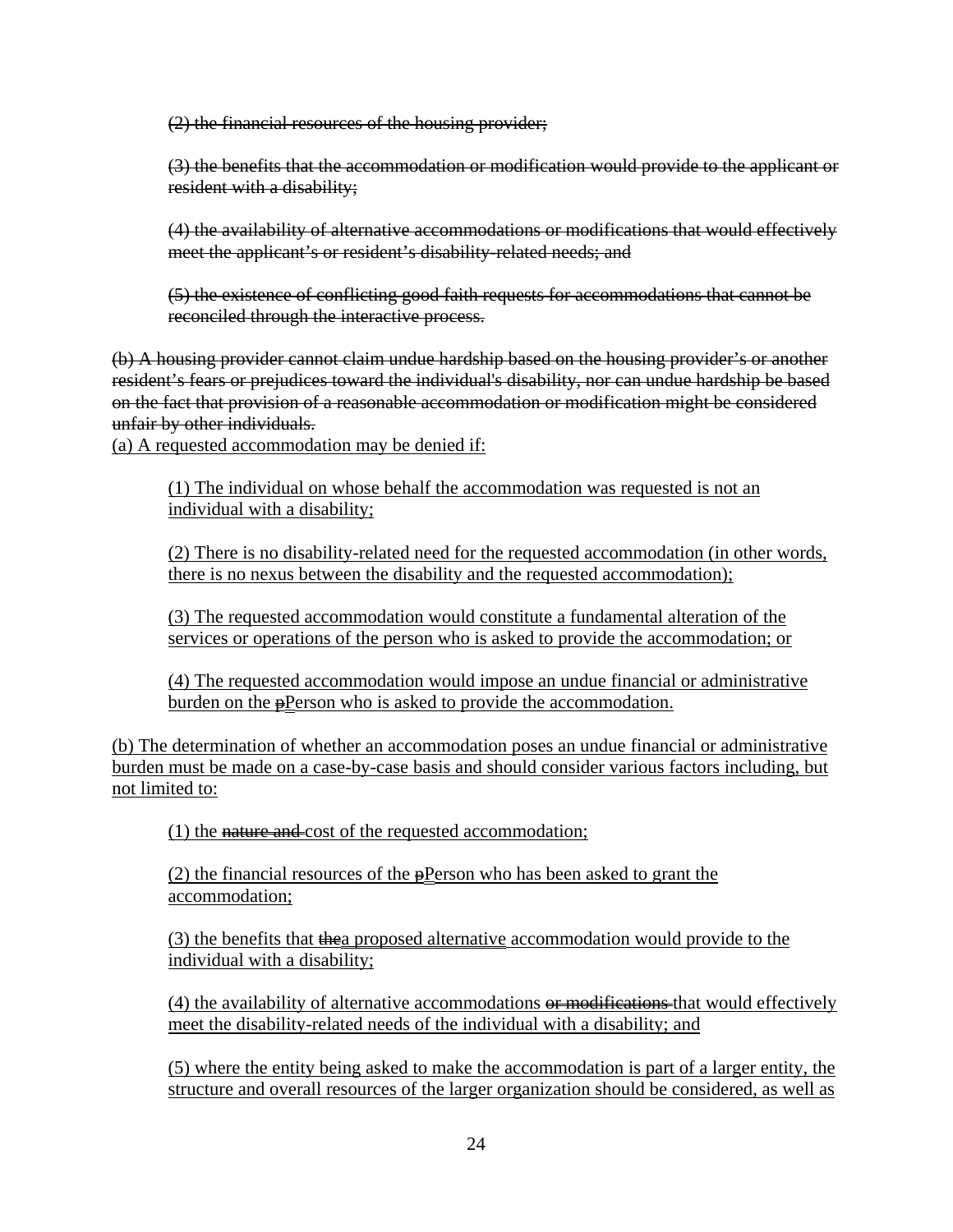(2) the financial resources of the housing provider;

(3) the benefits that the accommodation or modification would provide to the applicant or resident with a disability;

(4) the availability of alternative accommodations or modifications that would effectively meet the applicant's or resident's disability-related needs; and

(5) the existence of conflicting good faith requests for accommodations that cannot be reconciled through the interactive process.

(b) A housing provider cannot claim undue hardship based on the housing provider's or another resident's fears or prejudices toward the individual's disability, nor can undue hardship be based on the fact that provision of a reasonable accommodation or modification might be considered unfair by other individuals.

(a) A requested accommodation may be denied if:

(1) The individual on whose behalf the accommodation was requested is not an individual with a disability;

(2) There is no disability-related need for the requested accommodation (in other words, there is no nexus between the disability and the requested accommodation);

(3) The requested accommodation would constitute a fundamental alteration of the services or operations of the person who is asked to provide the accommodation; or

(4) The requested accommodation would impose an undue financial or administrative burden on the **p**Person who is asked to provide the accommodation.

(b) The determination of whether an accommodation poses an undue financial or administrative burden must be made on a case-by-case basis and should consider various factors including, but not limited to:

(1) the nature and cost of the requested accommodation;

(2) the financial resources of the  $\frac{1}{2}$ Person who has been asked to grant the accommodation;

(3) the benefits that thea proposed alternative accommodation would provide to the individual with a disability;

 $(4)$  the availability of alternative accommodations  $\theta$  modifications that would effectively meet the disability-related needs of the individual with a disability; and

(5) where the entity being asked to make the accommodation is part of a larger entity, the structure and overall resources of the larger organization should be considered, as well as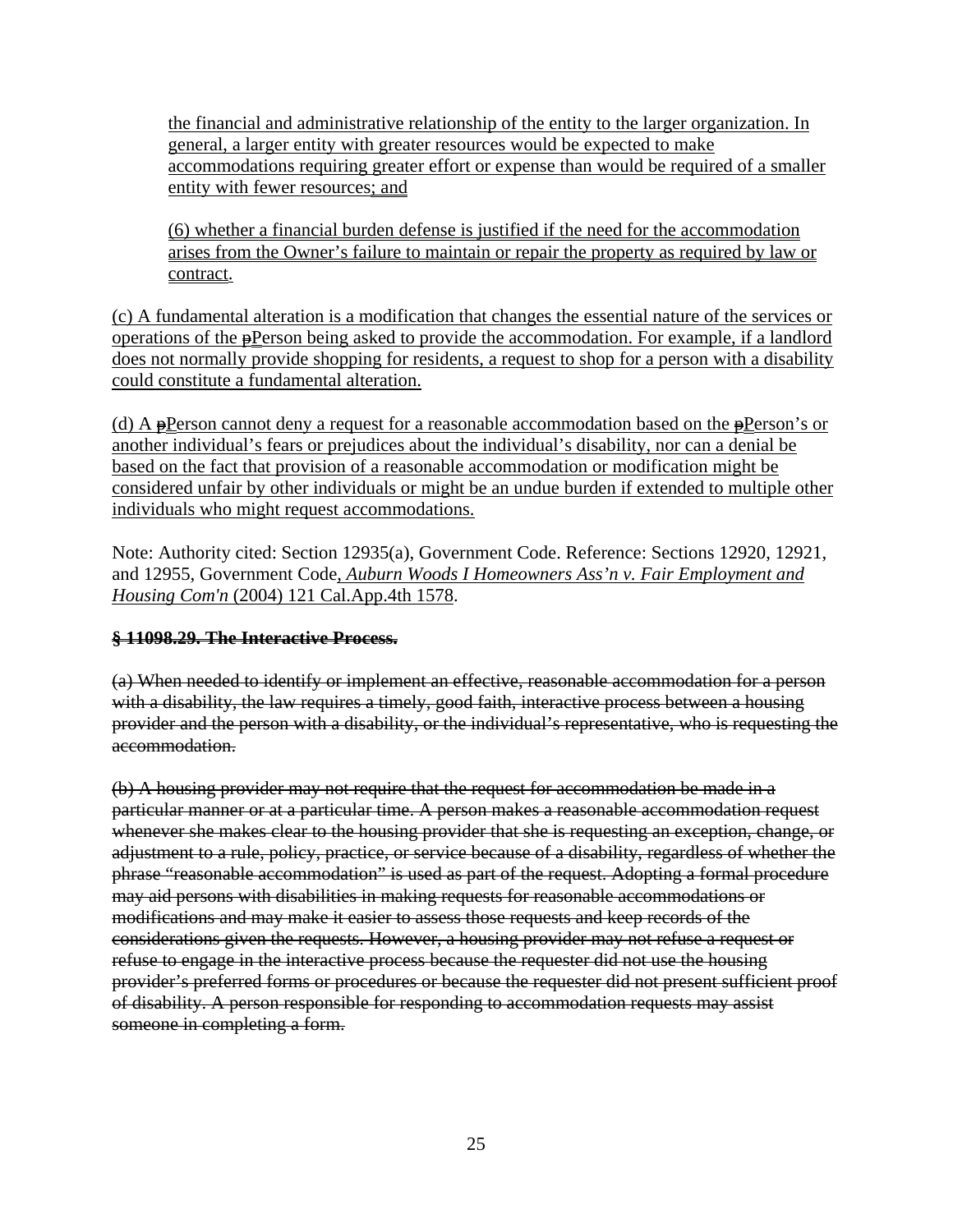the financial and administrative relationship of the entity to the larger organization. In general, a larger entity with greater resources would be expected to make accommodations requiring greater effort or expense than would be required of a smaller entity with fewer resources; and

(6) whether a financial burden defense is justified if the need for the accommodation arises from the Owner's failure to maintain or repair the property as required by law or contract.

(c) A fundamental alteration is a modification that changes the essential nature of the services or operations of the  $\frac{P}{P}$ erson being asked to provide the accommodation. For example, if a landlord does not normally provide shopping for residents, a request to shop for a person with a disability could constitute a fundamental alteration.

(d) A  $\frac{1}{2}$ Person cannot deny a request for a reasonable accommodation based on the  $\frac{1}{2}$ Person's or another individual's fears or prejudices about the individual's disability, nor can a denial be based on the fact that provision of a reasonable accommodation or modification might be considered unfair by other individuals or might be an undue burden if extended to multiple other individuals who might request accommodations.

Note: Authority cited: Section 12935(a), Government Code. Reference: Sections 12920, 12921, and 12955, Government Code, *Auburn Woods I Homeowners Ass'n v. Fair Employment and Housing Com'n* (2004) 121 Cal.App.4th 1578.

## **§ 11098.29. The Interactive Process.**

(a) When needed to identify or implement an effective, reasonable accommodation for a person with a disability, the law requires a timely, good faith, interactive process between a housing provider and the person with a disability, or the individual's representative, who is requesting the accommodation.

(b) A housing provider may not require that the request for accommodation be made in a particular manner or at a particular time. A person makes a reasonable accommodation request whenever she makes clear to the housing provider that she is requesting an exception, change, or adjustment to a rule, policy, practice, or service because of a disability, regardless of whether the phrase "reasonable accommodation" is used as part of the request. Adopting a formal procedure may aid persons with disabilities in making requests for reasonable accommodations or modifications and may make it easier to assess those requests and keep records of the considerations given the requests. However, a housing provider may not refuse a request or refuse to engage in the interactive process because the requester did not use the housing provider's preferred forms or procedures or because the requester did not present sufficient proof of disability. A person responsible for responding to accommodation requests may assist someone in completing a form.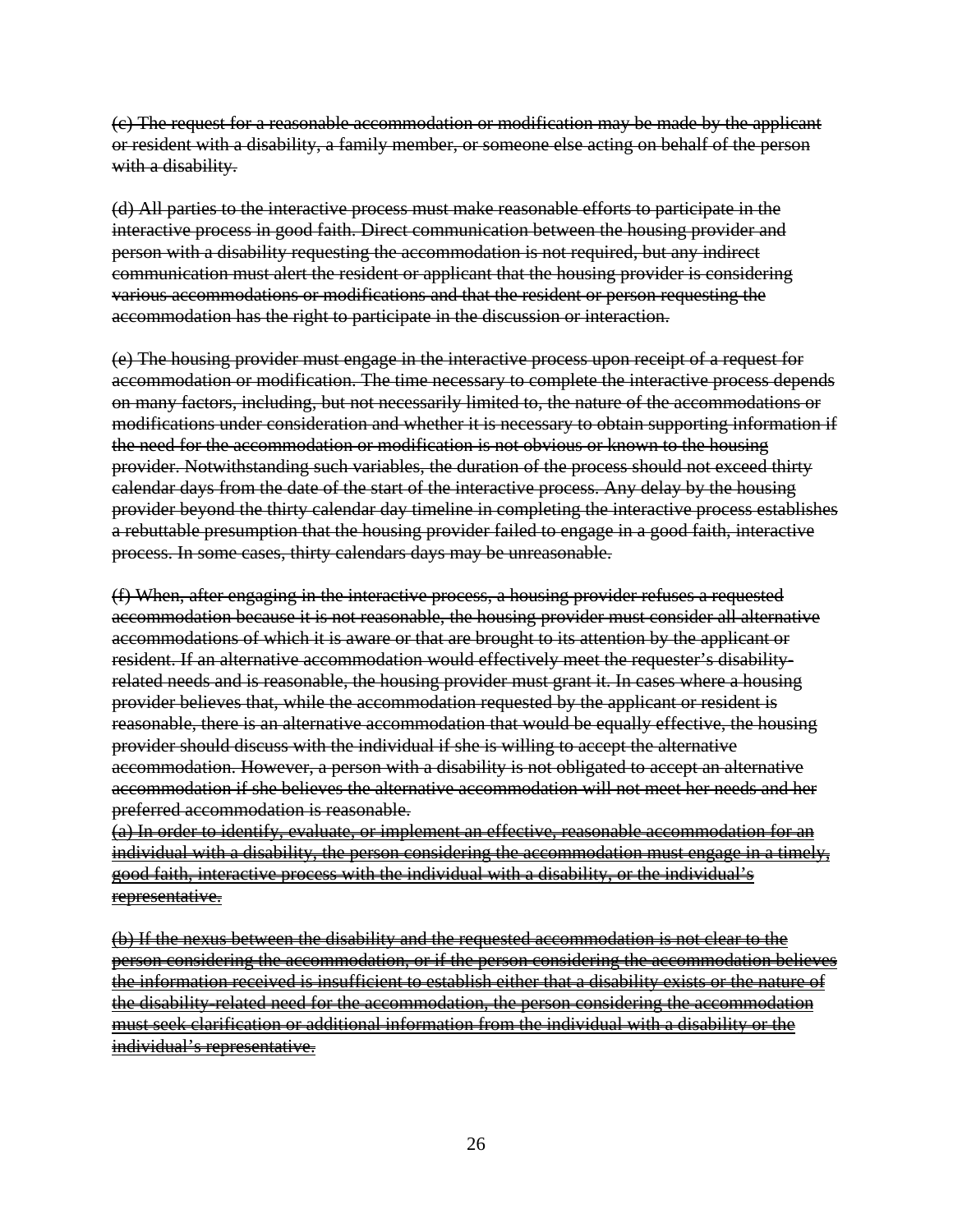(c) The request for a reasonable accommodation or modification may be made by the applicant or resident with a disability, a family member, or someone else acting on behalf of the person with a disability.

(d) All parties to the interactive process must make reasonable efforts to participate in the interactive process in good faith. Direct communication between the housing provider and person with a disability requesting the accommodation is not required, but any indirect communication must alert the resident or applicant that the housing provider is considering various accommodations or modifications and that the resident or person requesting the accommodation has the right to participate in the discussion or interaction.

(e) The housing provider must engage in the interactive process upon receipt of a request for accommodation or modification. The time necessary to complete the interactive process depends on many factors, including, but not necessarily limited to, the nature of the accommodations or modifications under consideration and whether it is necessary to obtain supporting information if the need for the accommodation or modification is not obvious or known to the housing provider. Notwithstanding such variables, the duration of the process should not exceed thirty calendar days from the date of the start of the interactive process. Any delay by the housing provider beyond the thirty calendar day timeline in completing the interactive process establishes a rebuttable presumption that the housing provider failed to engage in a good faith, interactive process. In some cases, thirty calendars days may be unreasonable.

(f) When, after engaging in the interactive process, a housing provider refuses a requested accommodation because it is not reasonable, the housing provider must consider all alternative accommodations of which it is aware or that are brought to its attention by the applicant or resident. If an alternative accommodation would effectively meet the requester's disabilityrelated needs and is reasonable, the housing provider must grant it. In cases where a housing provider believes that, while the accommodation requested by the applicant or resident is reasonable, there is an alternative accommodation that would be equally effective, the housing provider should discuss with the individual if she is willing to accept the alternative accommodation. However, a person with a disability is not obligated to accept an alternative accommodation if she believes the alternative accommodation will not meet her needs and her preferred accommodation is reasonable.

(a) In order to identify, evaluate, or implement an effective, reasonable accommodation for an individual with a disability, the person considering the accommodation must engage in a timely, good faith, interactive process with the individual with a disability, or the individual's representative.

(b) If the nexus between the disability and the requested accommodation is not clear to the person considering the accommodation, or if the person considering the accommodation believes the information received is insufficient to establish either that a disability exists or the nature of the disability-related need for the accommodation, the person considering the accommodation must seek clarification or additional information from the individual with a disability or the individual's representative.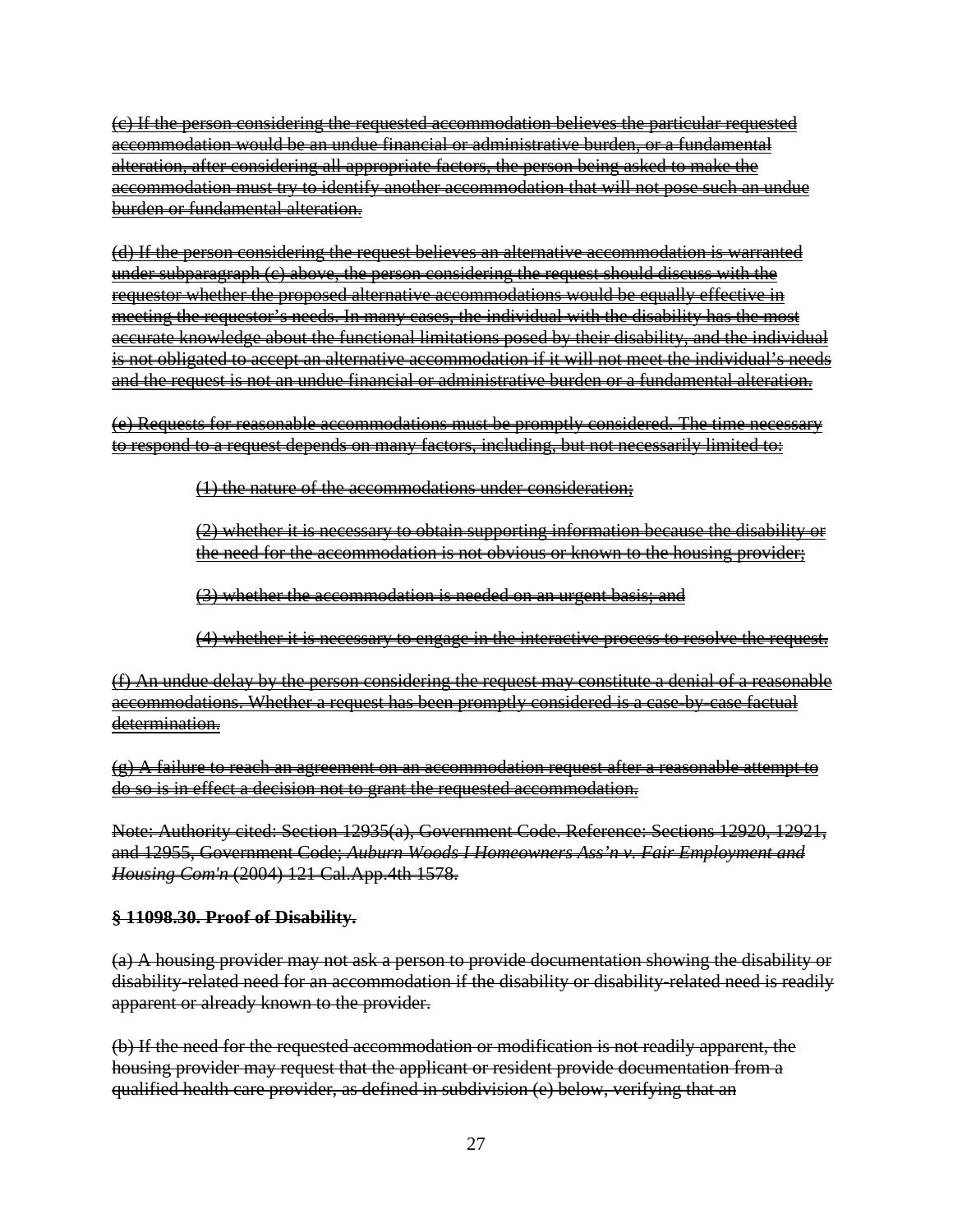(c) If the person considering the requested accommodation believes the particular requested accommodation would be an undue financial or administrative burden, or a fundamental alteration, after considering all appropriate factors, the person being asked to make the accommodation must try to identify another accommodation that will not pose such an undue burden or fundamental alteration.

(d) If the person considering the request believes an alternative accommodation is warranted under subparagraph (c) above, the person considering the request should discuss with the requestor whether the proposed alternative accommodations would be equally effective in meeting the requestor's needs. In many cases, the individual with the disability has the most accurate knowledge about the functional limitations posed by their disability, and the individual is not obligated to accept an alternative accommodation if it will not meet the individual's needs and the request is not an undue financial or administrative burden or a fundamental alteration.

(e) Requests for reasonable accommodations must be promptly considered. The time necessary to respond to a request depends on many factors, including, but not necessarily limited to:

(1) the nature of the accommodations under consideration;

(2) whether it is necessary to obtain supporting information because the disability or the need for the accommodation is not obvious or known to the housing provider;

(3) whether the accommodation is needed on an urgent basis; and

(4) whether it is necessary to engage in the interactive process to resolve the request.

(f) An undue delay by the person considering the request may constitute a denial of a reasonable accommodations. Whether a request has been promptly considered is a case-by-case factual determination.

(g) A failure to reach an agreement on an accommodation request after a reasonable attempt to do so is in effect a decision not to grant the requested accommodation.

Note: Authority cited: Section 12935(a), Government Code. Reference: Sections 12920, 12921, and 12955, Government Code; *Auburn Woods I Homeowners Ass'n v. Fair Employment and Housing Com'n* (2004) 121 Cal.App.4th 1578.

**§ 11098.30. Proof of Disability.** 

(a) A housing provider may not ask a person to provide documentation showing the disability or disability-related need for an accommodation if the disability or disability-related need is readily apparent or already known to the provider.

(b) If the need for the requested accommodation or modification is not readily apparent, the housing provider may request that the applicant or resident provide documentation from a qualified health care provider, as defined in subdivision (e) below, verifying that an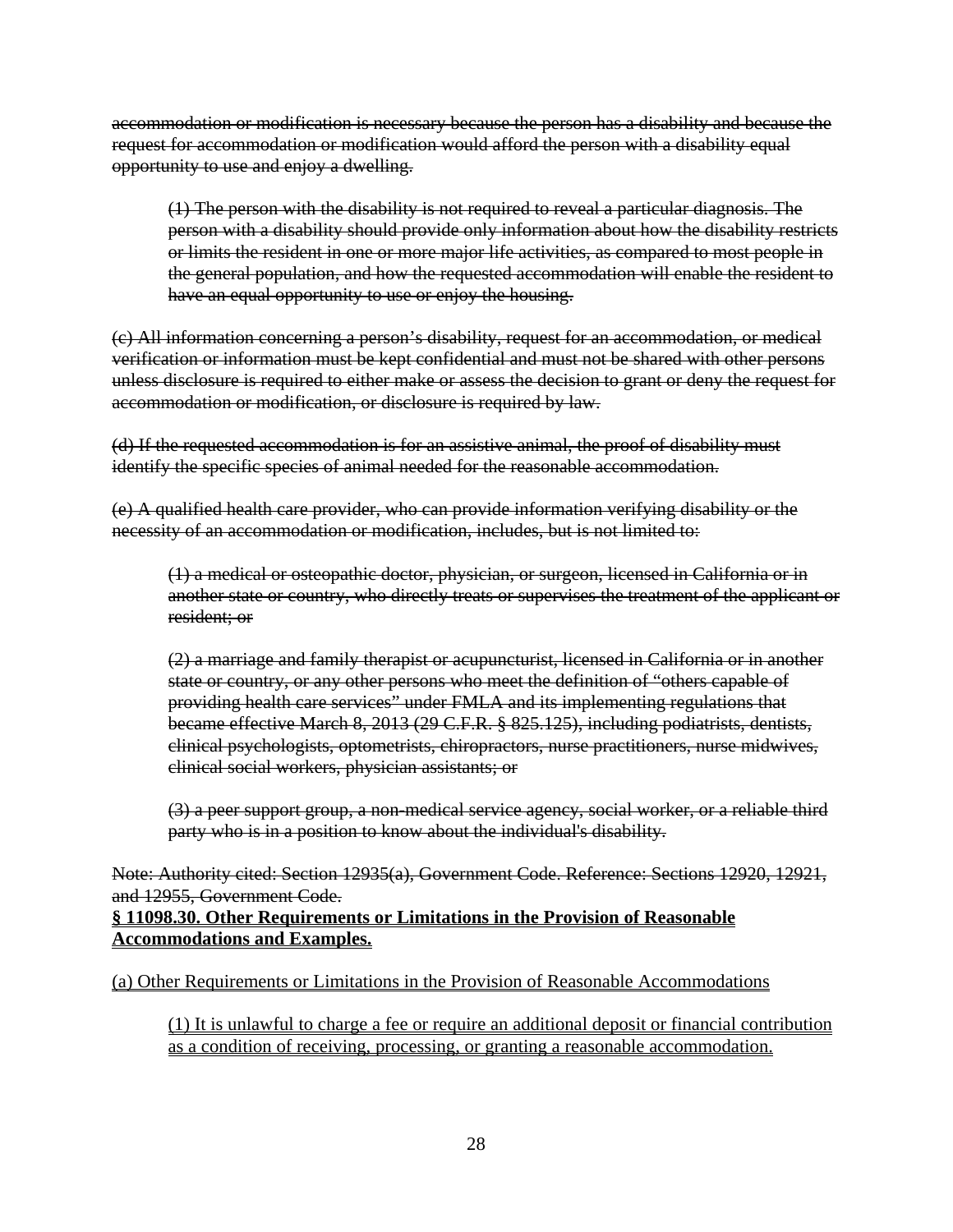accommodation or modification is necessary because the person has a disability and because the request for accommodation or modification would afford the person with a disability equal opportunity to use and enjoy a dwelling.

(1) The person with the disability is not required to reveal a particular diagnosis. The person with a disability should provide only information about how the disability restricts or limits the resident in one or more major life activities, as compared to most people in the general population, and how the requested accommodation will enable the resident to have an equal opportunity to use or enjoy the housing.

(c) All information concerning a person's disability, request for an accommodation, or medical verification or information must be kept confidential and must not be shared with other persons unless disclosure is required to either make or assess the decision to grant or deny the request for accommodation or modification, or disclosure is required by law.

(d) If the requested accommodation is for an assistive animal, the proof of disability must identify the specific species of animal needed for the reasonable accommodation.

(e) A qualified health care provider, who can provide information verifying disability or the necessity of an accommodation or modification, includes, but is not limited to:

(1) a medical or osteopathic doctor, physician, or surgeon, licensed in California or in another state or country, who directly treats or supervises the treatment of the applicant or resident; or

(2) a marriage and family therapist or acupuncturist, licensed in California or in another state or country, or any other persons who meet the definition of "others capable of providing health care services" under FMLA and its implementing regulations that became effective March 8, 2013 (29 C.F.R. § 825.125), including podiatrists, dentists, clinical psychologists, optometrists, chiropractors, nurse practitioners, nurse midwives, clinical social workers, physician assistants; or

(3) a peer support group, a non-medical service agency, social worker, or a reliable third party who is in a position to know about the individual's disability.

Note: Authority cited: Section 12935(a), Government Code. Reference: Sections 12920, 12921, and 12955, Government Code.

#### **§ 11098.30. Other Requirements or Limitations in the Provision of Reasonable Accommodations and Examples.**

(a) Other Requirements or Limitations in the Provision of Reasonable Accommodations

(1) It is unlawful to charge a fee or require an additional deposit or financial contribution as a condition of receiving, processing, or granting a reasonable accommodation.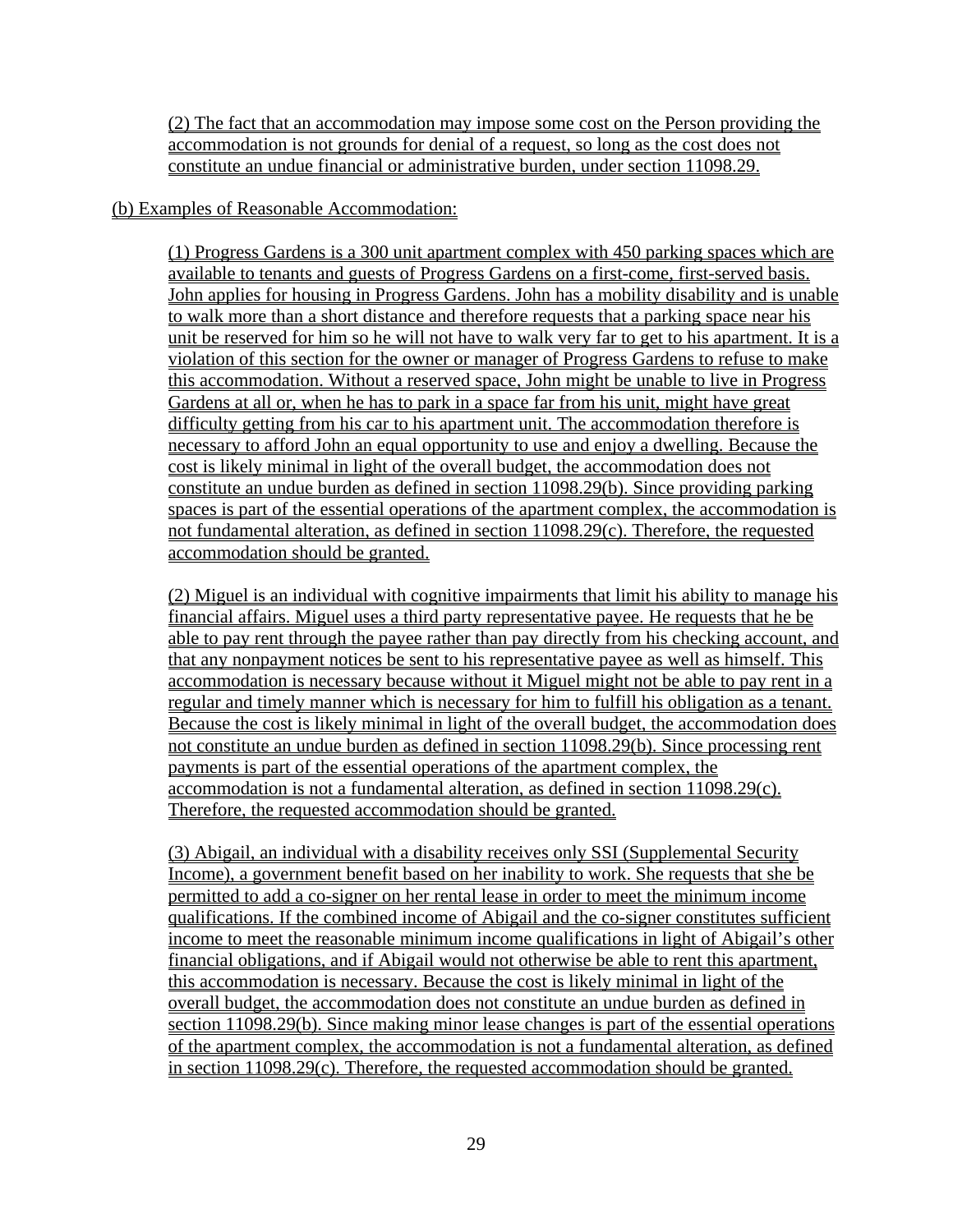(2) The fact that an accommodation may impose some cost on the Person providing the accommodation is not grounds for denial of a request, so long as the cost does not constitute an undue financial or administrative burden, under section 11098.29.

#### (b) Examples of Reasonable Accommodation:

(1) Progress Gardens is a 300 unit apartment complex with 450 parking spaces which are available to tenants and guests of Progress Gardens on a first-come, first-served basis. John applies for housing in Progress Gardens. John has a mobility disability and is unable to walk more than a short distance and therefore requests that a parking space near his unit be reserved for him so he will not have to walk very far to get to his apartment. It is a violation of this section for the owner or manager of Progress Gardens to refuse to make this accommodation. Without a reserved space, John might be unable to live in Progress Gardens at all or, when he has to park in a space far from his unit, might have great difficulty getting from his car to his apartment unit. The accommodation therefore is necessary to afford John an equal opportunity to use and enjoy a dwelling. Because the cost is likely minimal in light of the overall budget, the accommodation does not constitute an undue burden as defined in section 11098.29(b). Since providing parking spaces is part of the essential operations of the apartment complex, the accommodation is not fundamental alteration, as defined in section 11098.29(c). Therefore, the requested accommodation should be granted.

(2) Miguel is an individual with cognitive impairments that limit his ability to manage his financial affairs. Miguel uses a third party representative payee. He requests that he be able to pay rent through the payee rather than pay directly from his checking account, and that any nonpayment notices be sent to his representative payee as well as himself. This accommodation is necessary because without it Miguel might not be able to pay rent in a regular and timely manner which is necessary for him to fulfill his obligation as a tenant. Because the cost is likely minimal in light of the overall budget, the accommodation does not constitute an undue burden as defined in section 11098.29(b). Since processing rent payments is part of the essential operations of the apartment complex, the accommodation is not a fundamental alteration, as defined in section 11098.29(c). Therefore, the requested accommodation should be granted.

(3) Abigail, an individual with a disability receives only SSI (Supplemental Security Income), a government benefit based on her inability to work. She requests that she be permitted to add a co-signer on her rental lease in order to meet the minimum income qualifications. If the combined income of Abigail and the co-signer constitutes sufficient income to meet the reasonable minimum income qualifications in light of Abigail's other financial obligations, and if Abigail would not otherwise be able to rent this apartment, this accommodation is necessary. Because the cost is likely minimal in light of the overall budget, the accommodation does not constitute an undue burden as defined in section 11098.29(b). Since making minor lease changes is part of the essential operations of the apartment complex, the accommodation is not a fundamental alteration, as defined in section 11098.29(c). Therefore, the requested accommodation should be granted.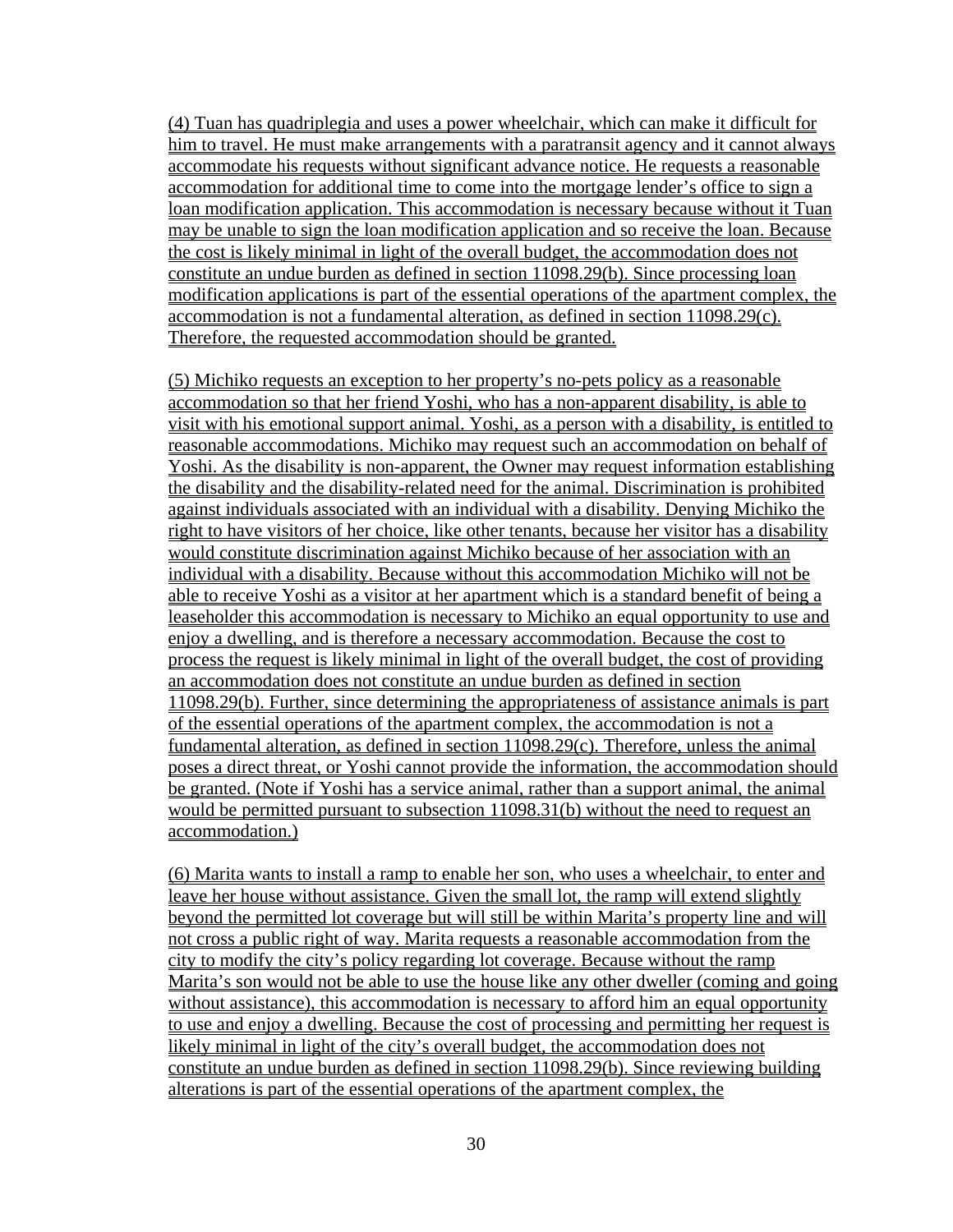(4) Tuan has quadriplegia and uses a power wheelchair, which can make it difficult for him to travel. He must make arrangements with a paratransit agency and it cannot always accommodate his requests without significant advance notice. He requests a reasonable accommodation for additional time to come into the mortgage lender's office to sign a loan modification application. This accommodation is necessary because without it Tuan may be unable to sign the loan modification application and so receive the loan. Because the cost is likely minimal in light of the overall budget, the accommodation does not constitute an undue burden as defined in section 11098.29(b). Since processing loan modification applications is part of the essential operations of the apartment complex, the accommodation is not a fundamental alteration, as defined in section 11098.29(c). Therefore, the requested accommodation should be granted.

(5) Michiko requests an exception to her property's no-pets policy as a reasonable accommodation so that her friend Yoshi, who has a non-apparent disability, is able to visit with his emotional support animal. Yoshi, as a person with a disability, is entitled to reasonable accommodations. Michiko may request such an accommodation on behalf of Yoshi. As the disability is non-apparent, the Owner may request information establishing the disability and the disability-related need for the animal. Discrimination is prohibited against individuals associated with an individual with a disability. Denying Michiko the right to have visitors of her choice, like other tenants, because her visitor has a disability would constitute discrimination against Michiko because of her association with an individual with a disability. Because without this accommodation Michiko will not be able to receive Yoshi as a visitor at her apartment which is a standard benefit of being a leaseholder this accommodation is necessary to Michiko an equal opportunity to use and enjoy a dwelling, and is therefore a necessary accommodation. Because the cost to process the request is likely minimal in light of the overall budget, the cost of providing an accommodation does not constitute an undue burden as defined in section 11098.29(b). Further, since determining the appropriateness of assistance animals is part of the essential operations of the apartment complex, the accommodation is not a fundamental alteration, as defined in section 11098.29(c). Therefore, unless the animal poses a direct threat, or Yoshi cannot provide the information, the accommodation should be granted. (Note if Yoshi has a service animal, rather than a support animal, the animal would be permitted pursuant to subsection 11098.31(b) without the need to request an accommodation.)

(6) Marita wants to install a ramp to enable her son, who uses a wheelchair, to enter and leave her house without assistance. Given the small lot, the ramp will extend slightly beyond the permitted lot coverage but will still be within Marita's property line and will not cross a public right of way. Marita requests a reasonable accommodation from the city to modify the city's policy regarding lot coverage. Because without the ramp Marita's son would not be able to use the house like any other dweller (coming and going without assistance), this accommodation is necessary to afford him an equal opportunity to use and enjoy a dwelling. Because the cost of processing and permitting her request is likely minimal in light of the city's overall budget, the accommodation does not constitute an undue burden as defined in section 11098.29(b). Since reviewing building alterations is part of the essential operations of the apartment complex, the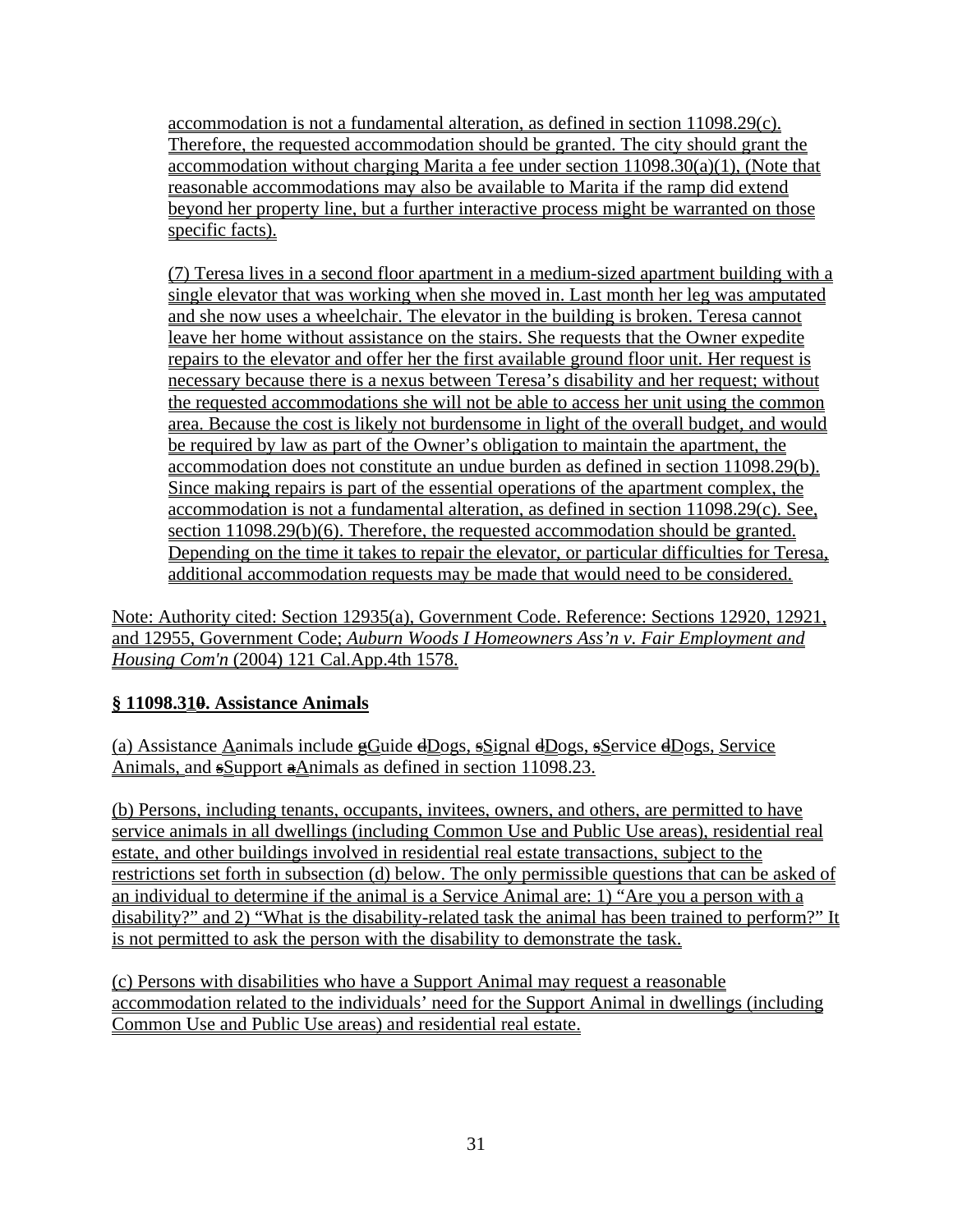accommodation is not a fundamental alteration, as defined in section 11098.29(c). Therefore, the requested accommodation should be granted. The city should grant the accommodation without charging Marita a fee under section 11098.30(a)(1), (Note that reasonable accommodations may also be available to Marita if the ramp did extend beyond her property line, but a further interactive process might be warranted on those specific facts).

(7) Teresa lives in a second floor apartment in a medium-sized apartment building with a single elevator that was working when she moved in. Last month her leg was amputated and she now uses a wheelchair. The elevator in the building is broken. Teresa cannot leave her home without assistance on the stairs. She requests that the Owner expedite repairs to the elevator and offer her the first available ground floor unit. Her request is necessary because there is a nexus between Teresa's disability and her request; without the requested accommodations she will not be able to access her unit using the common area. Because the cost is likely not burdensome in light of the overall budget, and would be required by law as part of the Owner's obligation to maintain the apartment, the accommodation does not constitute an undue burden as defined in section 11098.29(b). Since making repairs is part of the essential operations of the apartment complex, the accommodation is not a fundamental alteration, as defined in section 11098.29(c). See, section 11098.29(b)(6). Therefore, the requested accommodation should be granted. Depending on the time it takes to repair the elevator, or particular difficulties for Teresa, additional accommodation requests may be made that would need to be considered.

Note: Authority cited: Section 12935(a), Government Code. Reference: Sections 12920, 12921, and 12955, Government Code; *Auburn Woods I Homeowners Ass'n v. Fair Employment and Housing Com'n* (2004) 121 Cal.App.4th 1578.

# **§ 11098.310. Assistance Animals**

(a) Assistance Aanimals include  $\trianglelefteq$ Guide  $\trianglelefteq$ Dogs,  $\trianglelefteq$ Signal  $\trianglelefteq$ Dogs,  $\trianglelefteq$ Service  $\trianglelefteq$ Dogs, Service Animals, and sSupport aAnimals as defined in section 11098.23.

(b) Persons, including tenants, occupants, invitees, owners, and others, are permitted to have service animals in all dwellings (including Common Use and Public Use areas), residential real estate, and other buildings involved in residential real estate transactions, subject to the restrictions set forth in subsection (d) below. The only permissible questions that can be asked of an individual to determine if the animal is a Service Animal are: 1) "Are you a person with a disability?" and 2) "What is the disability-related task the animal has been trained to perform?" It is not permitted to ask the person with the disability to demonstrate the task.

(c) Persons with disabilities who have a Support Animal may request a reasonable accommodation related to the individuals' need for the Support Animal in dwellings (including Common Use and Public Use areas) and residential real estate.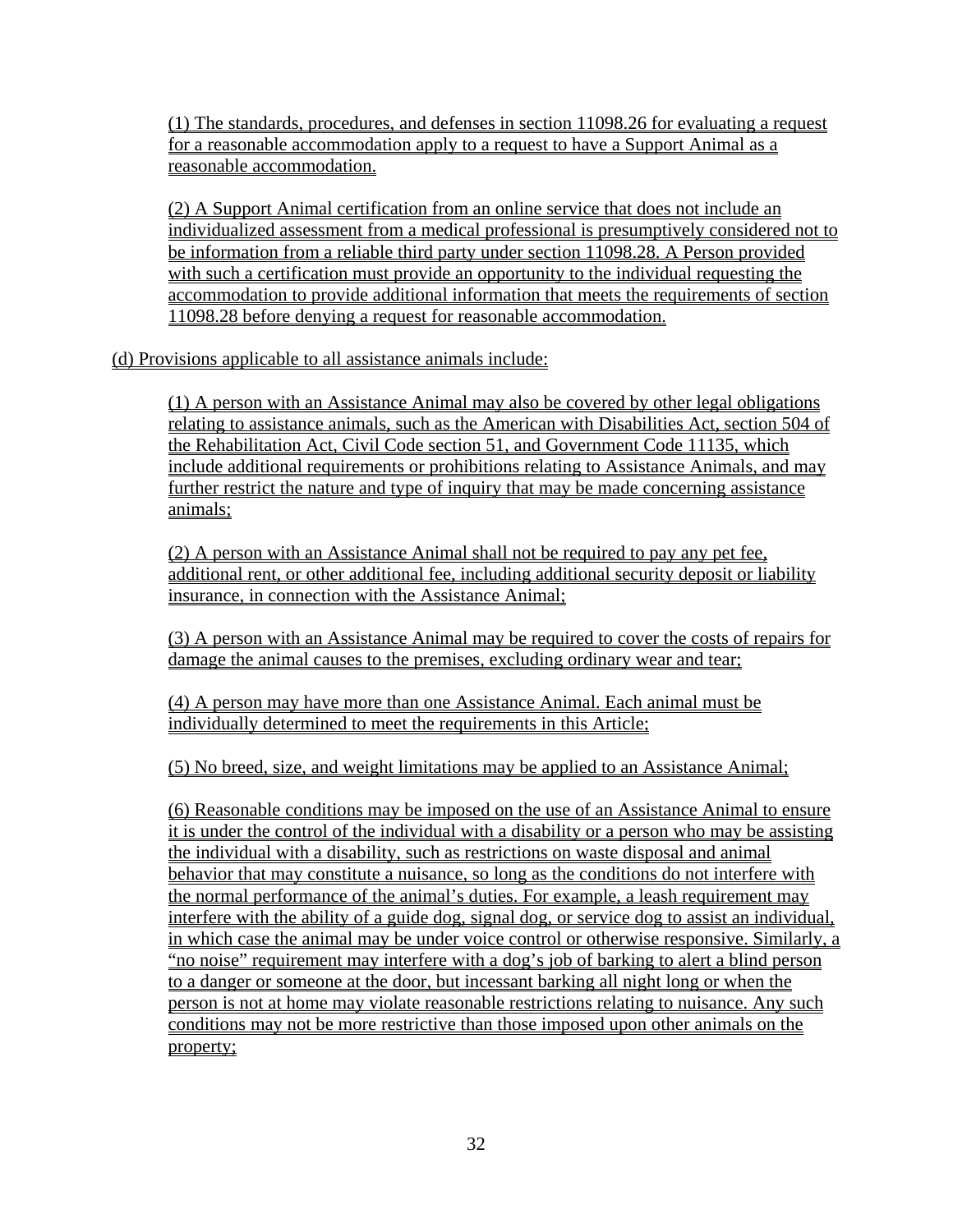(1) The standards, procedures, and defenses in section 11098.26 for evaluating a request for a reasonable accommodation apply to a request to have a Support Animal as a reasonable accommodation.

(2) A Support Animal certification from an online service that does not include an individualized assessment from a medical professional is presumptively considered not to be information from a reliable third party under section 11098.28. A Person provided with such a certification must provide an opportunity to the individual requesting the accommodation to provide additional information that meets the requirements of section 11098.28 before denying a request for reasonable accommodation.

(d) Provisions applicable to all assistance animals include:

(1) A person with an Assistance Animal may also be covered by other legal obligations relating to assistance animals, such as the American with Disabilities Act, section 504 of the Rehabilitation Act, Civil Code section 51, and Government Code 11135, which include additional requirements or prohibitions relating to Assistance Animals, and may further restrict the nature and type of inquiry that may be made concerning assistance animals;

(2) A person with an Assistance Animal shall not be required to pay any pet fee, additional rent, or other additional fee, including additional security deposit or liability insurance, in connection with the Assistance Animal;

(3) A person with an Assistance Animal may be required to cover the costs of repairs for damage the animal causes to the premises, excluding ordinary wear and tear;

(4) A person may have more than one Assistance Animal. Each animal must be individually determined to meet the requirements in this Article;

(5) No breed, size, and weight limitations may be applied to an Assistance Animal;

(6) Reasonable conditions may be imposed on the use of an Assistance Animal to ensure it is under the control of the individual with a disability or a person who may be assisting the individual with a disability, such as restrictions on waste disposal and animal behavior that may constitute a nuisance, so long as the conditions do not interfere with the normal performance of the animal's duties. For example, a leash requirement may interfere with the ability of a guide dog, signal dog, or service dog to assist an individual, in which case the animal may be under voice control or otherwise responsive. Similarly, a "no noise" requirement may interfere with a dog's job of barking to alert a blind person to a danger or someone at the door, but incessant barking all night long or when the person is not at home may violate reasonable restrictions relating to nuisance. Any such conditions may not be more restrictive than those imposed upon other animals on the property;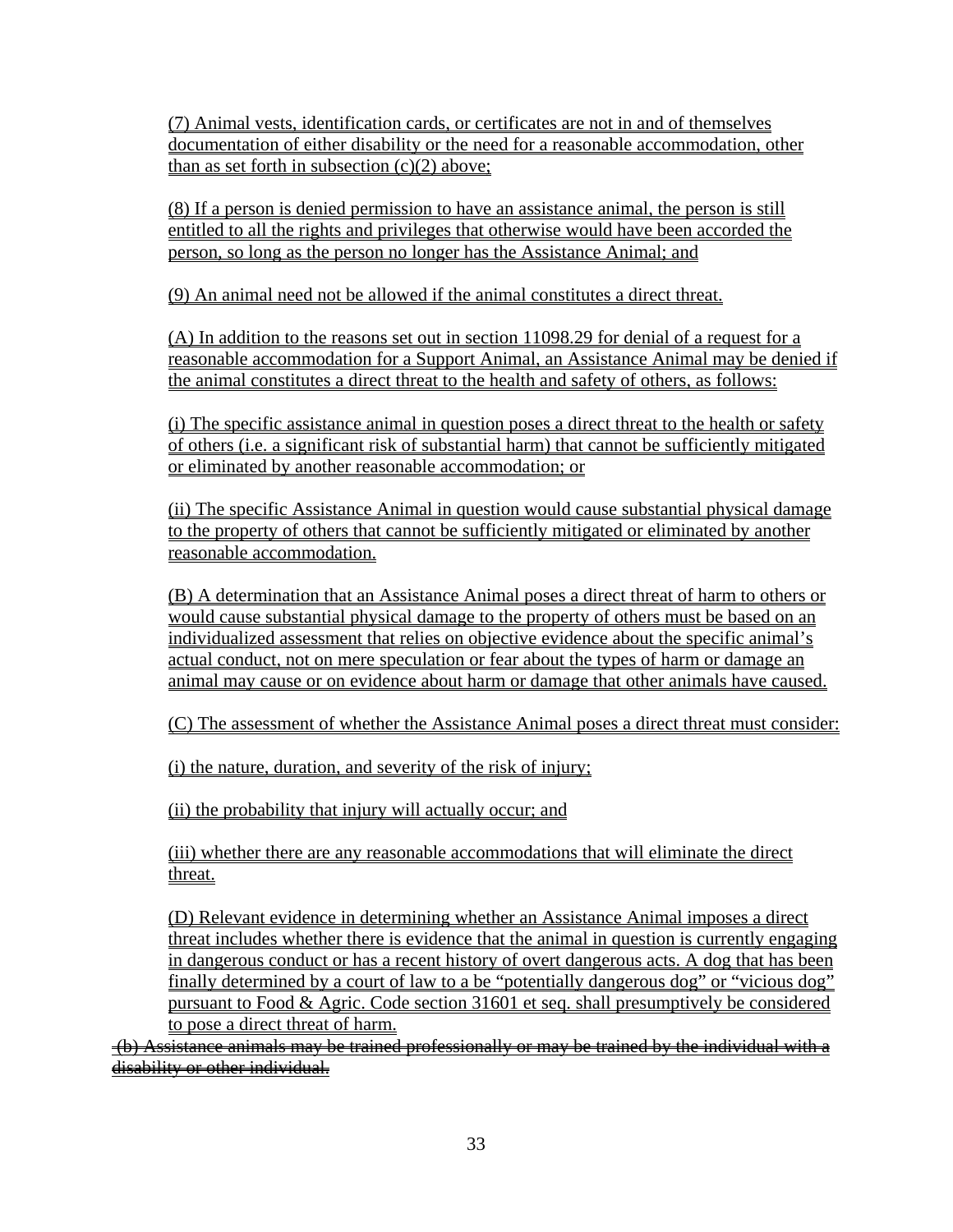(7) Animal vests, identification cards, or certificates are not in and of themselves documentation of either disability or the need for a reasonable accommodation, other than as set forth in subsection  $(c)(2)$  above;

(8) If a person is denied permission to have an assistance animal, the person is still entitled to all the rights and privileges that otherwise would have been accorded the person, so long as the person no longer has the Assistance Animal; and

(9) An animal need not be allowed if the animal constitutes a direct threat.

(A) In addition to the reasons set out in section 11098.29 for denial of a request for a reasonable accommodation for a Support Animal, an Assistance Animal may be denied if the animal constitutes a direct threat to the health and safety of others, as follows:

(i) The specific assistance animal in question poses a direct threat to the health or safety of others (i.e. a significant risk of substantial harm) that cannot be sufficiently mitigated or eliminated by another reasonable accommodation; or

(ii) The specific Assistance Animal in question would cause substantial physical damage to the property of others that cannot be sufficiently mitigated or eliminated by another reasonable accommodation.

(B) A determination that an Assistance Animal poses a direct threat of harm to others or would cause substantial physical damage to the property of others must be based on an individualized assessment that relies on objective evidence about the specific animal's actual conduct, not on mere speculation or fear about the types of harm or damage an animal may cause or on evidence about harm or damage that other animals have caused.

(C) The assessment of whether the Assistance Animal poses a direct threat must consider:

(i) the nature, duration, and severity of the risk of injury;

(ii) the probability that injury will actually occur; and

(iii) whether there are any reasonable accommodations that will eliminate the direct threat.

(D) Relevant evidence in determining whether an Assistance Animal imposes a direct threat includes whether there is evidence that the animal in question is currently engaging in dangerous conduct or has a recent history of overt dangerous acts. A dog that has been finally determined by a court of law to a be "potentially dangerous dog" or "vicious dog" pursuant to Food & Agric. Code section 31601 et seq. shall presumptively be considered to pose a direct threat of harm.

 (b) Assistance animals may be trained professionally or may be trained by the individual with a disability or other individual.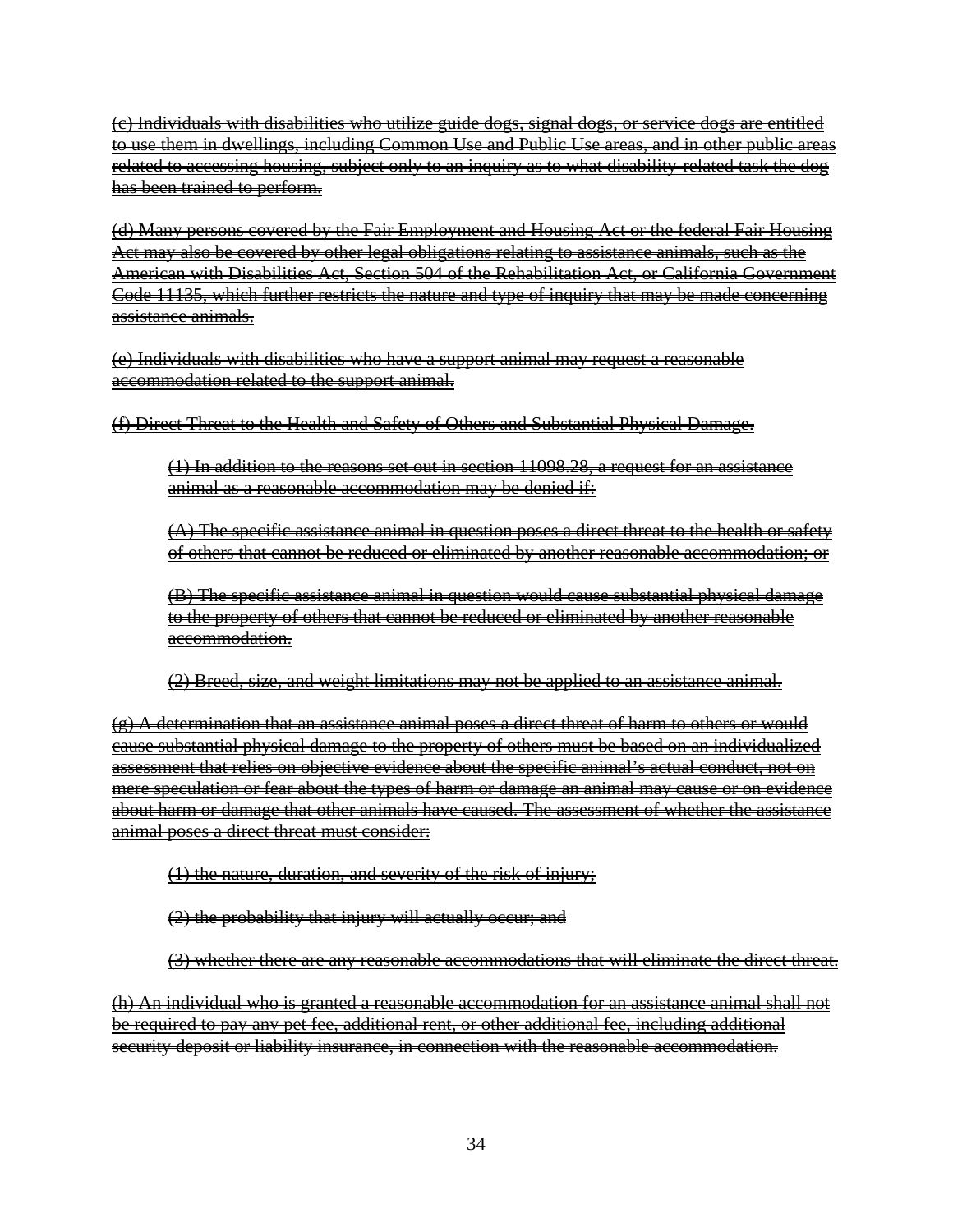(c) Individuals with disabilities who utilize guide dogs, signal dogs, or service dogs are entitled to use them in dwellings, including Common Use and Public Use areas, and in other public areas related to accessing housing, subject only to an inquiry as to what disability-related task the dog has been trained to perform.

(d) Many persons covered by the Fair Employment and Housing Act or the federal Fair Housing Act may also be covered by other legal obligations relating to assistance animals, such as the American with Disabilities Act, Section 504 of the Rehabilitation Act, or California Government Code 11135, which further restricts the nature and type of inquiry that may be made concerning assistance animals.

(e) Individuals with disabilities who have a support animal may request a reasonable accommodation related to the support animal.

(f) Direct Threat to the Health and Safety of Others and Substantial Physical Damage.

(1) In addition to the reasons set out in section 11098.28, a request for an assistance animal as a reasonable accommodation may be denied if:

(A) The specific assistance animal in question poses a direct threat to the health or safety of others that cannot be reduced or eliminated by another reasonable accommodation; or

(B) The specific assistance animal in question would cause substantial physical damage to the property of others that cannot be reduced or eliminated by another reasonable accommodation.

(2) Breed, size, and weight limitations may not be applied to an assistance animal.

 $\left( \mathbf{e} \right)$  A determination that an assistance animal poses a direct threat of harm to others or would cause substantial physical damage to the property of others must be based on an individualized assessment that relies on objective evidence about the specific animal's actual conduct, not on mere speculation or fear about the types of harm or damage an animal may cause or on evidence about harm or damage that other animals have caused. The assessment of whether the assistance animal poses a direct threat must consider:

(1) the nature, duration, and severity of the risk of injury;

(2) the probability that injury will actually occur; and

(3) whether there are any reasonable accommodations that will eliminate the direct threat.

(h) An individual who is granted a reasonable accommodation for an assistance animal shall not be required to pay any pet fee, additional rent, or other additional fee, including additional security deposit or liability insurance, in connection with the reasonable accommodation.